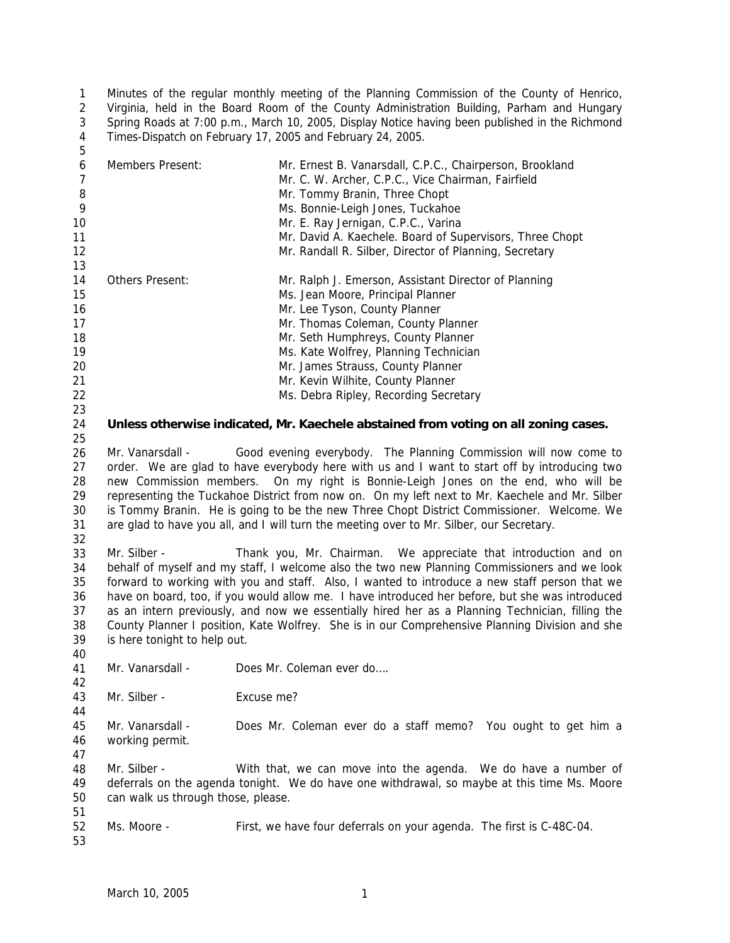1  $\mathfrak{D}$ 3 4 Minutes of the regular monthly meeting of the Planning Commission of the County of Henrico, Virginia, held in the Board Room of the County Administration Building, Parham and Hungary Spring Roads at 7:00 p.m., March 10, 2005, Display Notice having been published in the Richmond Times-Dispatch on February 17, 2005 and February 24, 2005.

| 6  | Members Present:       | Mr. Ernest B. Vanarsdall, C.P.C., Chairperson, Brookland                            |
|----|------------------------|-------------------------------------------------------------------------------------|
|    |                        | Mr. C. W. Archer, C.P.C., Vice Chairman, Fairfield                                  |
| 8  |                        | Mr. Tommy Branin, Three Chopt                                                       |
| 9  |                        | Ms. Bonnie-Leigh Jones, Tuckahoe                                                    |
| 10 |                        | Mr. E. Ray Jernigan, C.P.C., Varina                                                 |
| 11 |                        | Mr. David A. Kaechele. Board of Supervisors, Three Chopt                            |
| 12 |                        | Mr. Randall R. Silber, Director of Planning, Secretary                              |
| 13 |                        |                                                                                     |
| 14 | <b>Others Present:</b> | Mr. Ralph J. Emerson, Assistant Director of Planning                                |
| 15 |                        | Ms. Jean Moore, Principal Planner                                                   |
| 16 |                        | Mr. Lee Tyson, County Planner                                                       |
| 17 |                        | Mr. Thomas Coleman, County Planner                                                  |
| 18 |                        | Mr. Seth Humphreys, County Planner                                                  |
| 19 |                        | Ms. Kate Wolfrey, Planning Technician                                               |
| 20 |                        | Mr. James Strauss, County Planner                                                   |
| 21 |                        | Mr. Kevin Wilhite, County Planner                                                   |
| 22 |                        | Ms. Debra Ripley, Recording Secretary                                               |
| 23 |                        |                                                                                     |
| 24 |                        | Unless otherwise indicated, Mr. Kaechele abstained from voting on all zoning cases. |
| 25 |                        |                                                                                     |

26 27 28 29 30 31 Mr. Vanarsdall - Good evening everybody. The Planning Commission will now come to order. We are glad to have everybody here with us and I want to start off by introducing two new Commission members. On my right is Bonnie-Leigh Jones on the end, who will be representing the Tuckahoe District from now on. On my left next to Mr. Kaechele and Mr. Silber is Tommy Branin. He is going to be the new Three Chopt District Commissioner. Welcome. We are glad to have you all, and I will turn the meeting over to Mr. Silber, our Secretary.

32

40

42

44

47

5

33 34 35 36 37 38 39 Mr. Silber - Thank you, Mr. Chairman. We appreciate that introduction and on behalf of myself and my staff, I welcome also the two new Planning Commissioners and we look forward to working with you and staff. Also, I wanted to introduce a new staff person that we have on board, too, if you would allow me. I have introduced her before, but she was introduced as an intern previously, and now we essentially hired her as a Planning Technician, filling the County Planner I position, Kate Wolfrey. She is in our Comprehensive Planning Division and she is here tonight to help out.

41 Mr. Vanarsdall - Does Mr. Coleman ever do....

43 Mr. Silber - Fxcuse me?

45 46 Mr. Vanarsdall - Does Mr. Coleman ever do a staff memo? You ought to get him a working permit.

48 49 50 51 Mr. Silber - With that, we can move into the agenda. We do have a number of deferrals on the agenda tonight. We do have one withdrawal, so maybe at this time Ms. Moore can walk us through those, please.

- 52 Ms. Moore - First, we have four deferrals on your agenda. The first is C-48C-04.
- 53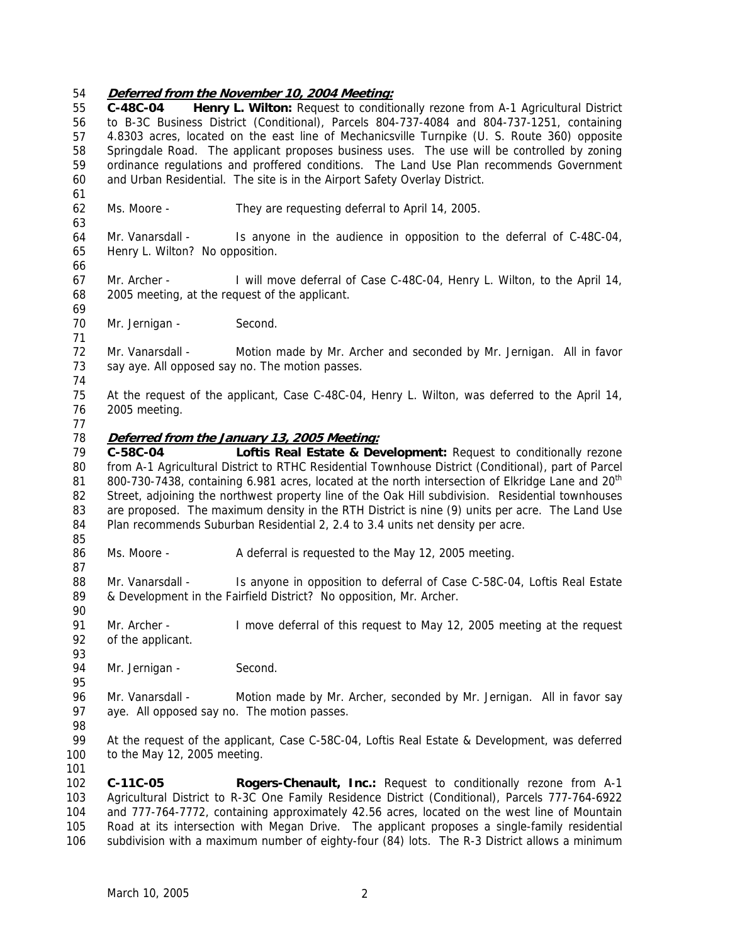## 54 **Deferred from the November 10, 2004 Meeting:**

55 56 57 58 59 60 61 62 63 64 65 66 67 68 69 70 71 72 73 74 75 76 77 **C-48C-04 Henry L. Wilton:** Request to conditionally rezone from A-1 Agricultural District to B-3C Business District (Conditional), Parcels 804-737-4084 and 804-737-1251, containing 4.8303 acres, located on the east line of Mechanicsville Turnpike (U. S. Route 360) opposite Springdale Road. The applicant proposes business uses. The use will be controlled by zoning ordinance regulations and proffered conditions. The Land Use Plan recommends Government and Urban Residential. The site is in the Airport Safety Overlay District. Ms. Moore - They are requesting deferral to April 14, 2005. Mr. Vanarsdall - Is anyone in the audience in opposition to the deferral of C-48C-04, Henry L. Wilton? No opposition. Mr. Archer - I will move deferral of Case C-48C-04, Henry L. Wilton, to the April 14, 2005 meeting, at the request of the applicant. Mr. Jernigan - Second. Mr. Vanarsdall - Motion made by Mr. Archer and seconded by Mr. Jernigan. All in favor say aye. All opposed say no. The motion passes. At the request of the applicant, Case C-48C-04, Henry L. Wilton, was deferred to the April 14, 2005 meeting. 78 **Deferred from the January 13, 2005 Meeting:** 79 80 81 82 83 84 85 86 87 88 89 90 91 92 93 94 95 96 97 98 99 100 101 102 103 104 **C-58C-04 Loftis Real Estate & Development:** Request to conditionally rezone from A-1 Agricultural District to RTHC Residential Townhouse District (Conditional), part of Parcel 800-730-7438, containing 6.981 acres, located at the north intersection of Elkridge Lane and 20<sup>th</sup> Street, adjoining the northwest property line of the Oak Hill subdivision. Residential townhouses are proposed. The maximum density in the RTH District is nine (9) units per acre. The Land Use Plan recommends Suburban Residential 2, 2.4 to 3.4 units net density per acre. Ms. Moore - A deferral is requested to the May 12, 2005 meeting. Mr. Vanarsdall - Is anyone in opposition to deferral of Case C-58C-04, Loftis Real Estate & Development in the Fairfield District? No opposition, Mr. Archer. Mr. Archer - I move deferral of this request to May 12, 2005 meeting at the request of the applicant. Mr. Jernigan - Second. Mr. Vanarsdall - Motion made by Mr. Archer, seconded by Mr. Jernigan. All in favor say aye. All opposed say no. The motion passes. At the request of the applicant, Case C-58C-04, Loftis Real Estate & Development, was deferred to the May 12, 2005 meeting. **C-11C-05 Rogers-Chenault, Inc.:** Request to conditionally rezone from A-1 Agricultural District to R-3C One Family Residence District (Conditional), Parcels 777-764-6922 and 777-764-7772, containing approximately 42.56 acres, located on the west line of Mountain

105 106 Road at its intersection with Megan Drive. The applicant proposes a single-family residential subdivision with a maximum number of eighty-four (84) lots. The R-3 District allows a minimum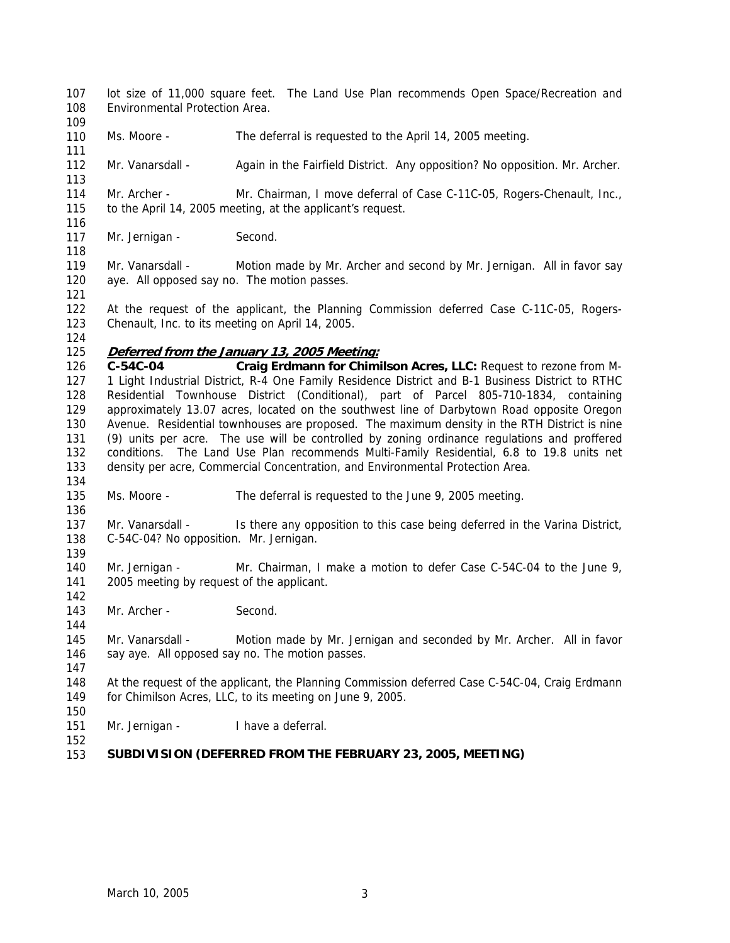- 107 108 lot size of 11,000 square feet. The Land Use Plan recommends Open Space/Recreation and Environmental Protection Area.
- 110 Ms. Moore - The deferral is requested to the April 14, 2005 meeting.
- 112 Mr. Vanarsdall - Again in the Fairfield District. Any opposition? No opposition. Mr. Archer.

114 115 Mr. Archer - Mr. Chairman, I move deferral of Case C-11C-05, Rogers-Chenault, Inc., to the April 14, 2005 meeting, at the applicant's request.

- 117 Mr. Jernigan - Second.
- 119 120 Mr. Vanarsdall - Motion made by Mr. Archer and second by Mr. Jernigan. All in favor say aye. All opposed say no. The motion passes.

121

109

111

113

116

118

- 122 123 At the request of the applicant, the Planning Commission deferred Case C-11C-05, Rogers-Chenault, Inc. to its meeting on April 14, 2005.
- 124

# 125 **Deferred from the January 13, 2005 Meeting:**

- 126 127 128 129 130 131 132 133 Craig Erdmann for Chimilson Acres, LLC: Request to rezone from M-1 Light Industrial District, R-4 One Family Residence District and B-1 Business District to RTHC Residential Townhouse District (Conditional), part of Parcel 805-710-1834, containing approximately 13.07 acres, located on the southwest line of Darbytown Road opposite Oregon Avenue. Residential townhouses are proposed. The maximum density in the RTH District is nine (9) units per acre. The use will be controlled by zoning ordinance regulations and proffered conditions. The Land Use Plan recommends Multi-Family Residential, 6.8 to 19.8 units net density per acre, Commercial Concentration, and Environmental Protection Area.
- 134

136

- 135 Ms. Moore - The deferral is requested to the June 9, 2005 meeting.
- 137 138 Mr. Vanarsdall - Is there any opposition to this case being deferred in the Varina District, C-54C-04? No opposition. Mr. Jernigan.
- 139 140 141 Mr. Jernigan - Mr. Chairman, I make a motion to defer Case C-54C-04 to the June 9, 2005 meeting by request of the applicant.
- 143 Mr. Archer - Second.
- 145 146 Mr. Vanarsdall - Motion made by Mr. Jernigan and seconded by Mr. Archer. All in favor say aye. All opposed say no. The motion passes.
- 147

142

144

148 149 At the request of the applicant, the Planning Commission deferred Case C-54C-04, Craig Erdmann for Chimilson Acres, LLC, to its meeting on June 9, 2005.

150 151

152

Mr. Jernigan - I have a deferral.

#### 153 **SUBDIVISION (DEFERRED FROM THE FEBRUARY 23, 2005, MEETING)**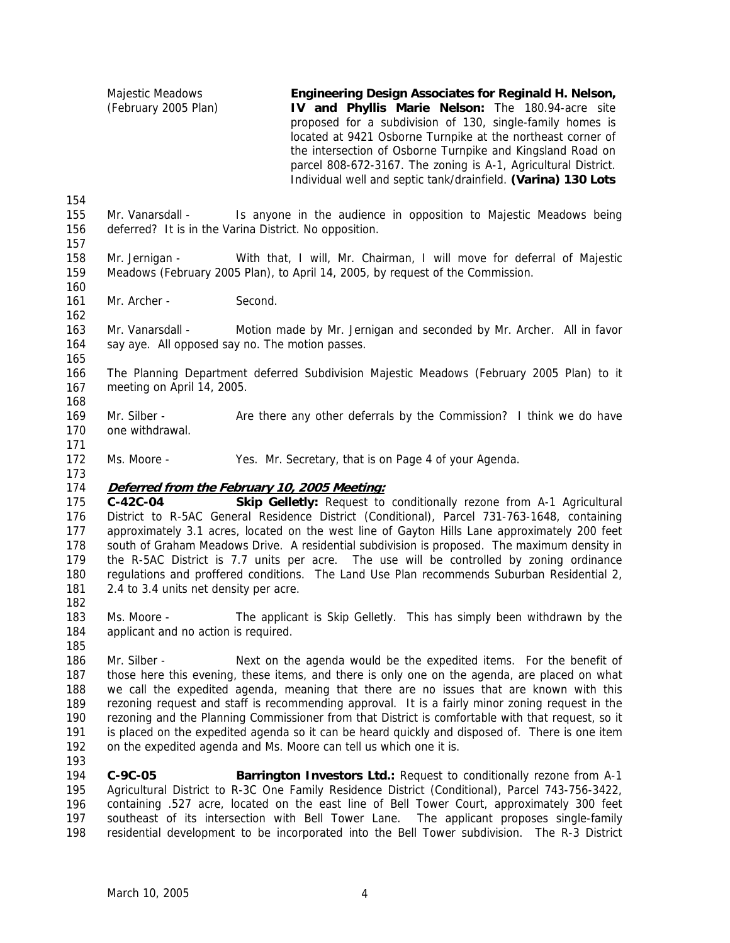| Majestic Meadows     | Engineering Design Associates for Reginald H. Nelson,          |
|----------------------|----------------------------------------------------------------|
| (February 2005 Plan) | IV and Phyllis Marie Nelson: The 180.94-acre site              |
|                      | proposed for a subdivision of 130, single-family homes is      |
|                      | located at 9421 Osborne Turnpike at the northeast corner of    |
|                      | the intersection of Osborne Turnpike and Kingsland Road on     |
|                      | parcel 808-672-3167. The zoning is A-1, Agricultural District. |
|                      | Individual well and septic tank/drainfield. (Varina) 130 Lots  |
|                      |                                                                |
|                      |                                                                |

- 155 156 Mr. Vanarsdall - Is anyone in the audience in opposition to Majestic Meadows being deferred? It is in the Varina District. No opposition.
- 157

- 158 159 160 Mr. Jernigan - With that, I will, Mr. Chairman, I will move for deferral of Majestic Meadows (February 2005 Plan), to April 14, 2005, by request of the Commission.
- 161 Mr. Archer - Second.

163 164 Mr. Vanarsdall - Motion made by Mr. Jernigan and seconded by Mr. Archer. All in favor say aye. All opposed say no. The motion passes.

165

168

171

173

162

166 167 The Planning Department deferred Subdivision Majestic Meadows (February 2005 Plan) to it meeting on April 14, 2005.

169 170 Mr. Silber - Are there any other deferrals by the Commission? I think we do have one withdrawal.

172 Ms. Moore - Yes. Mr. Secretary, that is on Page 4 of your Agenda.

# 174 **Deferred from the February 10, 2005 Meeting:**

175 176 177 178 179 180 181 **C-42C-04 Skip Gelletly:** Request to conditionally rezone from A-1 Agricultural District to R-5AC General Residence District (Conditional), Parcel 731-763-1648, containing approximately 3.1 acres, located on the west line of Gayton Hills Lane approximately 200 feet south of Graham Meadows Drive. A residential subdivision is proposed. The maximum density in the R-5AC District is 7.7 units per acre. The use will be controlled by zoning ordinance regulations and proffered conditions. The Land Use Plan recommends Suburban Residential 2, 2.4 to 3.4 units net density per acre.

182

185

183 184 Ms. Moore - The applicant is Skip Gelletly. This has simply been withdrawn by the applicant and no action is required.

186 187 188 189 190 191 192 193 Mr. Silber - Next on the agenda would be the expedited items. For the benefit of those here this evening, these items, and there is only one on the agenda, are placed on what we call the expedited agenda, meaning that there are no issues that are known with this rezoning request and staff is recommending approval. It is a fairly minor zoning request in the rezoning and the Planning Commissioner from that District is comfortable with that request, so it is placed on the expedited agenda so it can be heard quickly and disposed of. There is one item on the expedited agenda and Ms. Moore can tell us which one it is.

194 195 196 197 198 **C-9C-05 Barrington Investors Ltd.:** Request to conditionally rezone from A-1 Agricultural District to R-3C One Family Residence District (Conditional), Parcel 743-756-3422, containing .527 acre, located on the east line of Bell Tower Court, approximately 300 feet southeast of its intersection with Bell Tower Lane. The applicant proposes single-family residential development to be incorporated into the Bell Tower subdivision. The R-3 District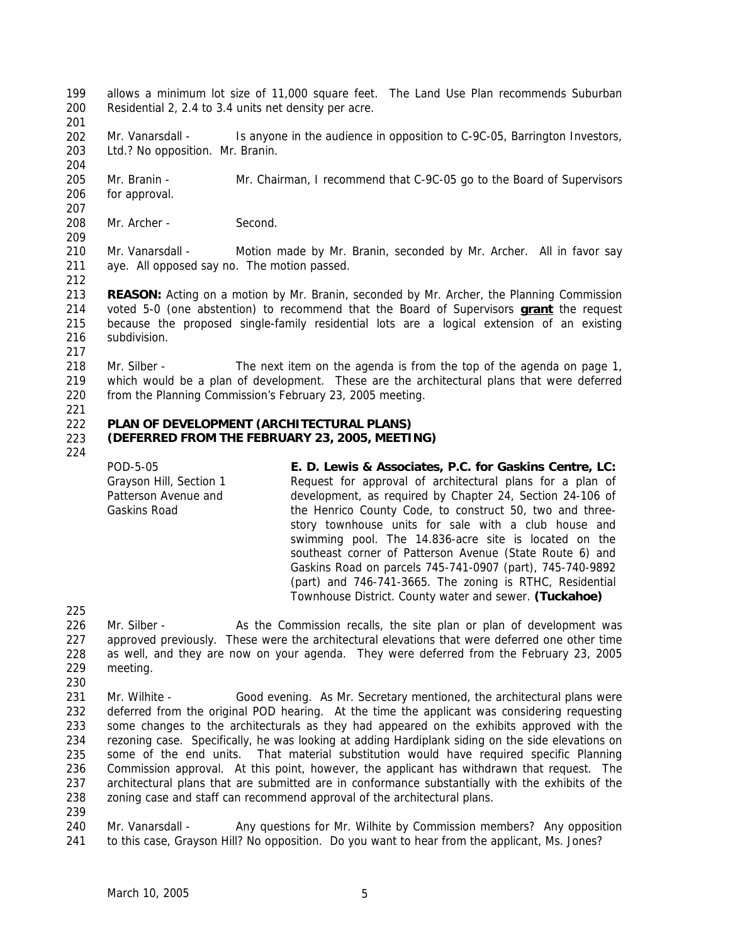- 199 200 allows a minimum lot size of 11,000 square feet. The Land Use Plan recommends Suburban Residential 2, 2.4 to 3.4 units net density per acre.
- 201
- 202 203 204 Mr. Vanarsdall - Is anyone in the audience in opposition to C-9C-05, Barrington Investors, Ltd.? No opposition. Mr. Branin.
- 205 206 Mr. Branin - Mr. Chairman, I recommend that C-9C-05 go to the Board of Supervisors for approval.
- 208 Mr. Archer - Second.
- 210 211 Mr. Vanarsdall - Motion made by Mr. Branin, seconded by Mr. Archer. All in favor say aye. All opposed say no. The motion passed.
- 212

209

213 **REASON:** Acting on a motion by Mr. Branin, seconded by Mr. Archer, the Planning Commission voted 5-0 (one abstention) to recommend that the Board of Supervisors **grant** the request because the proposed single-family residential lots are a logical extension of an existing subdivision. 214 215 216

218 219 220 Mr. Silber - The next item on the agenda is from the top of the agenda on page 1, which would be a plan of development. These are the architectural plans that were deferred from the Planning Commission's February 23, 2005 meeting.

221

217

#### 222 223 **PLAN OF DEVELOPMENT (ARCHITECTURAL PLANS) (DEFERRED FROM THE FEBRUARY 23, 2005, MEETING)**

# 224

POD-5-05 Grayson Hill, Section 1 Patterson Avenue and Gaskins Road **E. D. Lewis & Associates, P.C. for Gaskins Centre, LC:**  Request for approval of architectural plans for a plan of development, as required by Chapter 24, Section 24-106 of the Henrico County Code, to construct 50, two and threestory townhouse units for sale with a club house and swimming pool. The 14.836-acre site is located on the southeast corner of Patterson Avenue (State Route 6) and Gaskins Road on parcels 745-741-0907 (part), 745-740-9892 (part) and 746-741-3665. The zoning is RTHC, Residential Townhouse District. County water and sewer. **(Tuckahoe)** 

225

- 226 227 228 229 230 Mr. Silber - As the Commission recalls, the site plan or plan of development was approved previously. These were the architectural elevations that were deferred one other time as well, and they are now on your agenda. They were deferred from the February 23, 2005 meeting.
- 231 232 233 234 235 236 237 238 Mr. Wilhite - Good evening. As Mr. Secretary mentioned, the architectural plans were deferred from the original POD hearing. At the time the applicant was considering requesting some changes to the architecturals as they had appeared on the exhibits approved with the rezoning case. Specifically, he was looking at adding Hardiplank siding on the side elevations on some of the end units. That material substitution would have required specific Planning Commission approval. At this point, however, the applicant has withdrawn that request. The architectural plans that are submitted are in conformance substantially with the exhibits of the zoning case and staff can recommend approval of the architectural plans.
- 239

240 241 Mr. Vanarsdall - Any questions for Mr. Wilhite by Commission members? Any opposition to this case, Grayson Hill? No opposition. Do you want to hear from the applicant, Ms. Jones?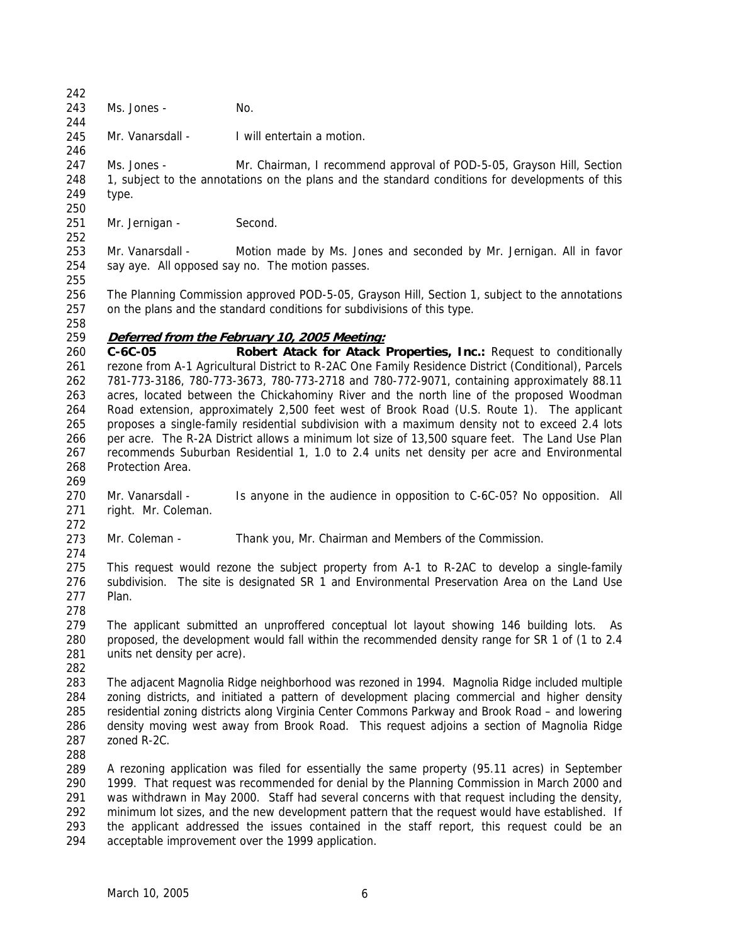244

246

243 Ms. Jones - No.

245 Mr. Vanarsdall - I will entertain a motion.

247 248 249 250 Ms. Jones - Mr. Chairman, I recommend approval of POD-5-05, Grayson Hill, Section 1, subject to the annotations on the plans and the standard conditions for developments of this type.

- 251 Mr. Jernigan - Second.
- 253 254 Mr. Vanarsdall - Motion made by Ms. Jones and seconded by Mr. Jernigan. All in favor say aye. All opposed say no. The motion passes.
- 255

252

256 257 The Planning Commission approved POD-5-05, Grayson Hill, Section 1, subject to the annotations on the plans and the standard conditions for subdivisions of this type.

258

## 259 **Deferred from the February 10, 2005 Meeting:**

260 261 262 263 264 265 266 267 268 **C-6C-05 Robert Atack for Atack Properties, Inc.:** Request to conditionally rezone from A-1 Agricultural District to R-2AC One Family Residence District (Conditional), Parcels 781-773-3186, 780-773-3673, 780-773-2718 and 780-772-9071, containing approximately 88.11 acres, located between the Chickahominy River and the north line of the proposed Woodman Road extension, approximately 2,500 feet west of Brook Road (U.S. Route 1). The applicant proposes a single-family residential subdivision with a maximum density not to exceed 2.4 lots per acre. The R-2A District allows a minimum lot size of 13,500 square feet. The Land Use Plan recommends Suburban Residential 1, 1.0 to 2.4 units net density per acre and Environmental Protection Area.

269

272

274

270 271 Mr. Vanarsdall - Is anyone in the audience in opposition to C-6C-05? No opposition. All right. Mr. Coleman.

273 Mr. Coleman - Thank you, Mr. Chairman and Members of the Commission.

275 276 277 This request would rezone the subject property from A-1 to R-2AC to develop a single-family subdivision. The site is designated SR 1 and Environmental Preservation Area on the Land Use Plan.

278

279 280 281 The applicant submitted an unproffered conceptual lot layout showing 146 building lots. As proposed, the development would fall within the recommended density range for SR 1 of (1 to 2.4 units net density per acre).

282

283 284 285 286 287 The adjacent Magnolia Ridge neighborhood was rezoned in 1994. Magnolia Ridge included multiple zoning districts, and initiated a pattern of development placing commercial and higher density residential zoning districts along Virginia Center Commons Parkway and Brook Road – and lowering density moving west away from Brook Road. This request adjoins a section of Magnolia Ridge zoned R-2C.

288

289 290 291 292 293 294 A rezoning application was filed for essentially the same property (95.11 acres) in September 1999. That request was recommended for denial by the Planning Commission in March 2000 and was withdrawn in May 2000. Staff had several concerns with that request including the density, minimum lot sizes, and the new development pattern that the request would have established. If the applicant addressed the issues contained in the staff report, this request could be an acceptable improvement over the 1999 application.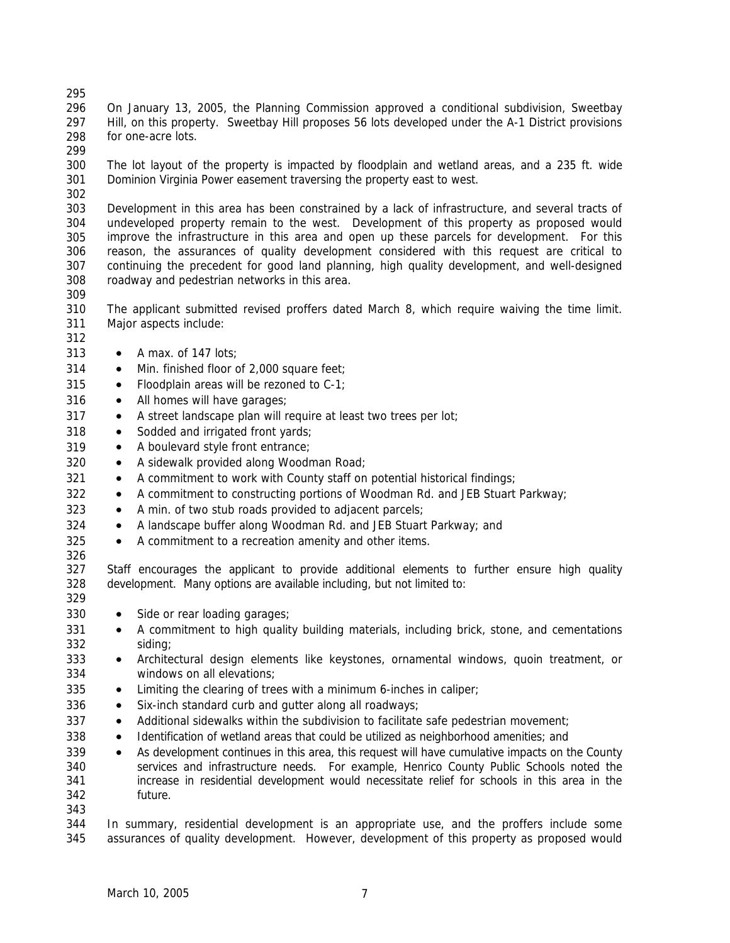296 297 298 On January 13, 2005, the Planning Commission approved a conditional subdivision, Sweetbay Hill, on this property. Sweetbay Hill proposes 56 lots developed under the A-1 District provisions for one-acre lots.

299

295

300 301 The lot layout of the property is impacted by floodplain and wetland areas, and a 235 ft. wide Dominion Virginia Power easement traversing the property east to west.

302

303 304 305 306 307 308 Development in this area has been constrained by a lack of infrastructure, and several tracts of undeveloped property remain to the west. Development of this property as proposed would improve the infrastructure in this area and open up these parcels for development. For this reason, the assurances of quality development considered with this request are critical to continuing the precedent for good land planning, high quality development, and well-designed roadway and pedestrian networks in this area.

309

310 311 The applicant submitted revised proffers dated March 8, which require waiving the time limit. Major aspects include:

- 312
- 313 • A max. of 147 lots:
- 314 • Min. finished floor of 2,000 square feet;
- 315 • Floodplain areas will be rezoned to C-1;
- 316 • All homes will have garages;
- 317 • A street landscape plan will require at least two trees per lot;
- 318 • Sodded and irrigated front yards;
- 319 • A boulevard style front entrance;
- 320 • A sidewalk provided along Woodman Road;
- 321 • A commitment to work with County staff on potential historical findings;
- 322 • A commitment to constructing portions of Woodman Rd. and JEB Stuart Parkway;
- 323 • A min. of two stub roads provided to adjacent parcels;
- 324 • A landscape buffer along Woodman Rd. and JEB Stuart Parkway; and
- 325 • A commitment to a recreation amenity and other items.
- 326

327 328 Staff encourages the applicant to provide additional elements to further ensure high quality development. Many options are available including, but not limited to:

- 329 330
- Side or rear loading garages;
- 331 332 • A commitment to high quality building materials, including brick, stone, and cementations siding;
- 333 334 • Architectural design elements like keystones, ornamental windows, quoin treatment, or windows on all elevations;
- 335 • Limiting the clearing of trees with a minimum 6-inches in caliper;
- 336 • Six-inch standard curb and gutter along all roadways;
- 337 • Additional sidewalks within the subdivision to facilitate safe pedestrian movement;
- 338 • Identification of wetland areas that could be utilized as neighborhood amenities; and
- 339 340 341 342 • As development continues in this area, this request will have cumulative impacts on the County services and infrastructure needs. For example, Henrico County Public Schools noted the increase in residential development would necessitate relief for schools in this area in the future.
- 343

344 345 In summary, residential development is an appropriate use, and the proffers include some assurances of quality development. However, development of this property as proposed would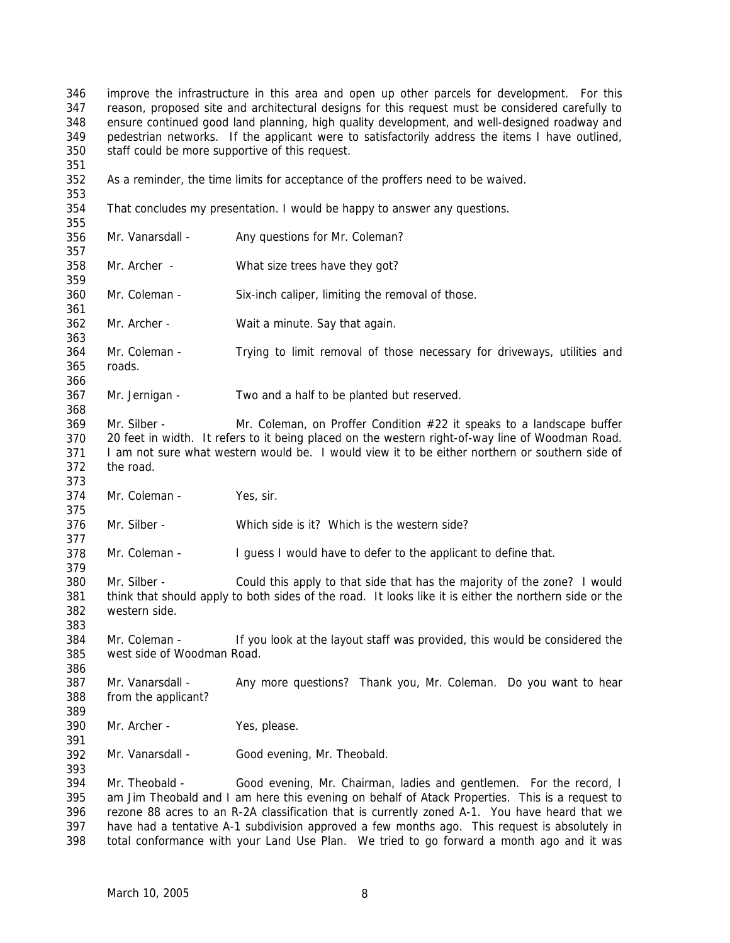346 347 348 349 350 351 352 353 354 355 356 357 358 359 360 361 362 363 364 365 366 367 368 369 370 371 372 373 374 375 376 377 378 379 380 381 382 383 384 385 386 387 388 389 390 391 392 393 394 395 396 397 398 improve the infrastructure in this area and open up other parcels for development. For this reason, proposed site and architectural designs for this request must be considered carefully to ensure continued good land planning, high quality development, and well-designed roadway and pedestrian networks. If the applicant were to satisfactorily address the items I have outlined, staff could be more supportive of this request. As a reminder, the time limits for acceptance of the proffers need to be waived. That concludes my presentation. I would be happy to answer any questions. Mr. Vanarsdall - Any questions for Mr. Coleman? Mr. Archer - What size trees have they got? Mr. Coleman - Six-inch caliper, limiting the removal of those. Mr. Archer - Wait a minute. Say that again. Mr. Coleman - Trying to limit removal of those necessary for driveways, utilities and roads. Mr. Jernigan - Two and a half to be planted but reserved. Mr. Silber - Mr. Coleman, on Proffer Condition #22 it speaks to a landscape buffer 20 feet in width. It refers to it being placed on the western right-of-way line of Woodman Road. I am not sure what western would be. I would view it to be either northern or southern side of the road. Mr. Coleman - Yes, sir. Mr. Silber - Which side is it? Which is the western side? Mr. Coleman - I guess I would have to defer to the applicant to define that. Mr. Silber - Could this apply to that side that has the majority of the zone? I would think that should apply to both sides of the road. It looks like it is either the northern side or the western side. Mr. Coleman - If you look at the layout staff was provided, this would be considered the west side of Woodman Road. Mr. Vanarsdall - Any more questions? Thank you, Mr. Coleman. Do you want to hear from the applicant? Mr. Archer - Yes, please. Mr. Vanarsdall - Good evening, Mr. Theobald. Mr. Theobald - Good evening, Mr. Chairman, ladies and gentlemen. For the record, I am Jim Theobald and I am here this evening on behalf of Atack Properties. This is a request to rezone 88 acres to an R-2A classification that is currently zoned A-1. You have heard that we have had a tentative A-1 subdivision approved a few months ago. This request is absolutely in total conformance with your Land Use Plan. We tried to go forward a month ago and it was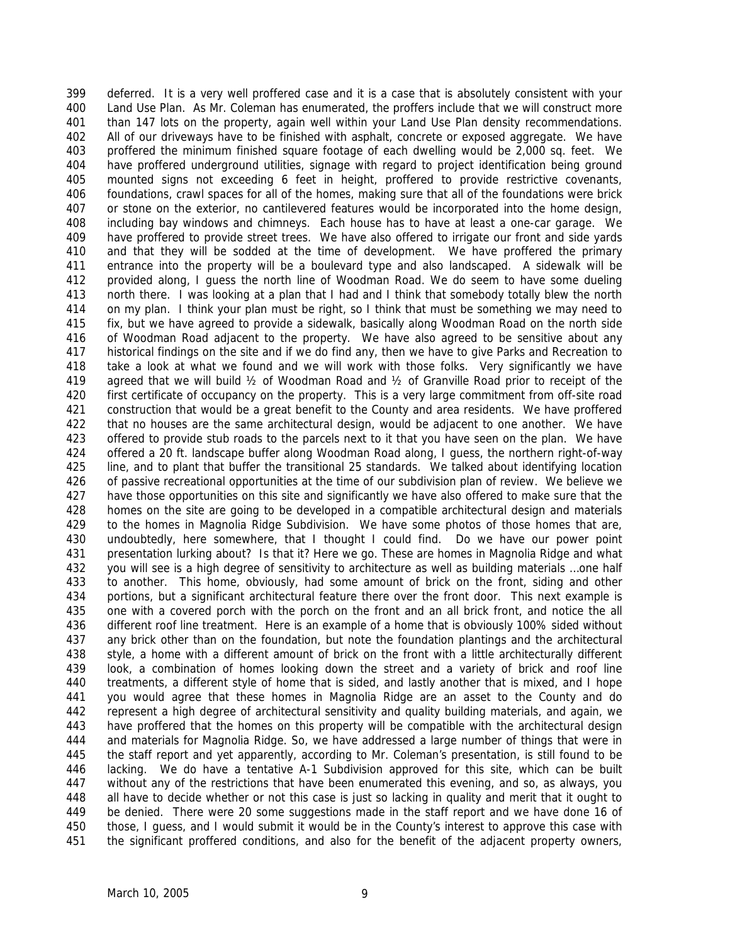399 400 401 402 403 404 405 406 407 408 409 410 411 412 413 414 415 416 417 418 419 420 421 422 423 424 425 426 427 428 429 430 431 432 433 434 435 436 437 438 439 440 441 442 443 444 445 446 447 448 449 450 451 deferred. It is a very well proffered case and it is a case that is absolutely consistent with your Land Use Plan. As Mr. Coleman has enumerated, the proffers include that we will construct more than 147 lots on the property, again well within your Land Use Plan density recommendations. All of our driveways have to be finished with asphalt, concrete or exposed aggregate. We have proffered the minimum finished square footage of each dwelling would be 2,000 sq. feet. We have proffered underground utilities, signage with regard to project identification being ground mounted signs not exceeding 6 feet in height, proffered to provide restrictive covenants, foundations, crawl spaces for all of the homes, making sure that all of the foundations were brick or stone on the exterior, no cantilevered features would be incorporated into the home design, including bay windows and chimneys. Each house has to have at least a one-car garage. We have proffered to provide street trees. We have also offered to irrigate our front and side yards and that they will be sodded at the time of development. We have proffered the primary entrance into the property will be a boulevard type and also landscaped. A sidewalk will be provided along, I guess the north line of Woodman Road. We do seem to have some dueling north there. I was looking at a plan that I had and I think that somebody totally blew the north on my plan. I think your plan must be right, so I think that must be something we may need to fix, but we have agreed to provide a sidewalk, basically along Woodman Road on the north side of Woodman Road adjacent to the property. We have also agreed to be sensitive about any historical findings on the site and if we do find any, then we have to give Parks and Recreation to take a look at what we found and we will work with those folks. Very significantly we have agreed that we will build  $\frac{1}{2}$  of Woodman Road and  $\frac{1}{2}$  of Granville Road prior to receipt of the first certificate of occupancy on the property. This is a very large commitment from off-site road construction that would be a great benefit to the County and area residents. We have proffered that no houses are the same architectural design, would be adjacent to one another. We have offered to provide stub roads to the parcels next to it that you have seen on the plan. We have offered a 20 ft. landscape buffer along Woodman Road along, I guess, the northern right-of-way line, and to plant that buffer the transitional 25 standards. We talked about identifying location of passive recreational opportunities at the time of our subdivision plan of review. We believe we have those opportunities on this site and significantly we have also offered to make sure that the homes on the site are going to be developed in a compatible architectural design and materials to the homes in Magnolia Ridge Subdivision. We have some photos of those homes that are, undoubtedly, here somewhere, that I thought I could find. Do we have our power point presentation lurking about? Is that it? Here we go. These are homes in Magnolia Ridge and what you will see is a high degree of sensitivity to architecture as well as building materials …one half to another. This home, obviously, had some amount of brick on the front, siding and other portions, but a significant architectural feature there over the front door. This next example is one with a covered porch with the porch on the front and an all brick front, and notice the all different roof line treatment. Here is an example of a home that is obviously 100% sided without any brick other than on the foundation, but note the foundation plantings and the architectural style, a home with a different amount of brick on the front with a little architecturally different look, a combination of homes looking down the street and a variety of brick and roof line treatments, a different style of home that is sided, and lastly another that is mixed, and I hope you would agree that these homes in Magnolia Ridge are an asset to the County and do represent a high degree of architectural sensitivity and quality building materials, and again, we have proffered that the homes on this property will be compatible with the architectural design and materials for Magnolia Ridge. So, we have addressed a large number of things that were in the staff report and yet apparently, according to Mr. Coleman's presentation, is still found to be lacking. We do have a tentative A-1 Subdivision approved for this site, which can be built without any of the restrictions that have been enumerated this evening, and so, as always, you all have to decide whether or not this case is just so lacking in quality and merit that it ought to be denied. There were 20 some suggestions made in the staff report and we have done 16 of those, I guess, and I would submit it would be in the County's interest to approve this case with the significant proffered conditions, and also for the benefit of the adjacent property owners,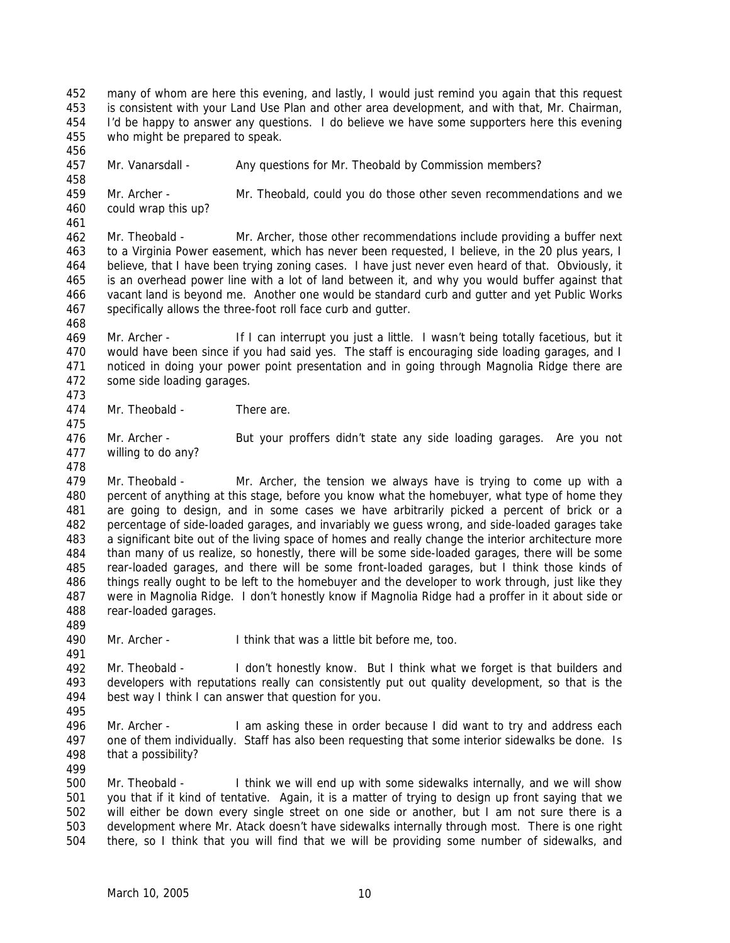452 453 454 455 many of whom are here this evening, and lastly, I would just remind you again that this request is consistent with your Land Use Plan and other area development, and with that, Mr. Chairman, I'd be happy to answer any questions. I do believe we have some supporters here this evening who might be prepared to speak.

457 Mr. Vanarsdall - Any questions for Mr. Theobald by Commission members?

459 460 461 Mr. Archer - Mr. Theobald, could you do those other seven recommendations and we could wrap this up?

462 463 464 465 466 467 Mr. Theobald - Mr. Archer, those other recommendations include providing a buffer next to a Virginia Power easement, which has never been requested, I believe, in the 20 plus years, I believe, that I have been trying zoning cases. I have just never even heard of that. Obviously, it is an overhead power line with a lot of land between it, and why you would buffer against that vacant land is beyond me. Another one would be standard curb and gutter and yet Public Works specifically allows the three-foot roll face curb and gutter.

468

475

478

456

458

469 470 471 472 473 Mr. Archer - If I can interrupt you just a little. I wasn't being totally facetious, but it would have been since if you had said yes. The staff is encouraging side loading garages, and I noticed in doing your power point presentation and in going through Magnolia Ridge there are some side loading garages.

474 Mr. Theobald - There are

476 477 Mr. Archer - But your proffers didn't state any side loading garages. Are you not willing to do any?

479 480 481 482 483 484 485 486 487 488 Mr. Theobald - Mr. Archer, the tension we always have is trying to come up with a percent of anything at this stage, before you know what the homebuyer, what type of home they are going to design, and in some cases we have arbitrarily picked a percent of brick or a percentage of side-loaded garages, and invariably we guess wrong, and side-loaded garages take a significant bite out of the living space of homes and really change the interior architecture more than many of us realize, so honestly, there will be some side-loaded garages, there will be some rear-loaded garages, and there will be some front-loaded garages, but I think those kinds of things really ought to be left to the homebuyer and the developer to work through, just like they were in Magnolia Ridge. I don't honestly know if Magnolia Ridge had a proffer in it about side or rear-loaded garages.

490 Mr. Archer - I think that was a little bit before me, too.

492 493 494 Mr. Theobald - I don't honestly know. But I think what we forget is that builders and developers with reputations really can consistently put out quality development, so that is the best way I think I can answer that question for you.

495

489

491

496 497 498 Mr. Archer - I am asking these in order because I did want to try and address each one of them individually. Staff has also been requesting that some interior sidewalks be done. Is that a possibility?

499

500 501 502 503 504 Mr. Theobald - I think we will end up with some sidewalks internally, and we will show you that if it kind of tentative. Again, it is a matter of trying to design up front saying that we will either be down every single street on one side or another, but I am not sure there is a development where Mr. Atack doesn't have sidewalks internally through most. There is one right there, so I think that you will find that we will be providing some number of sidewalks, and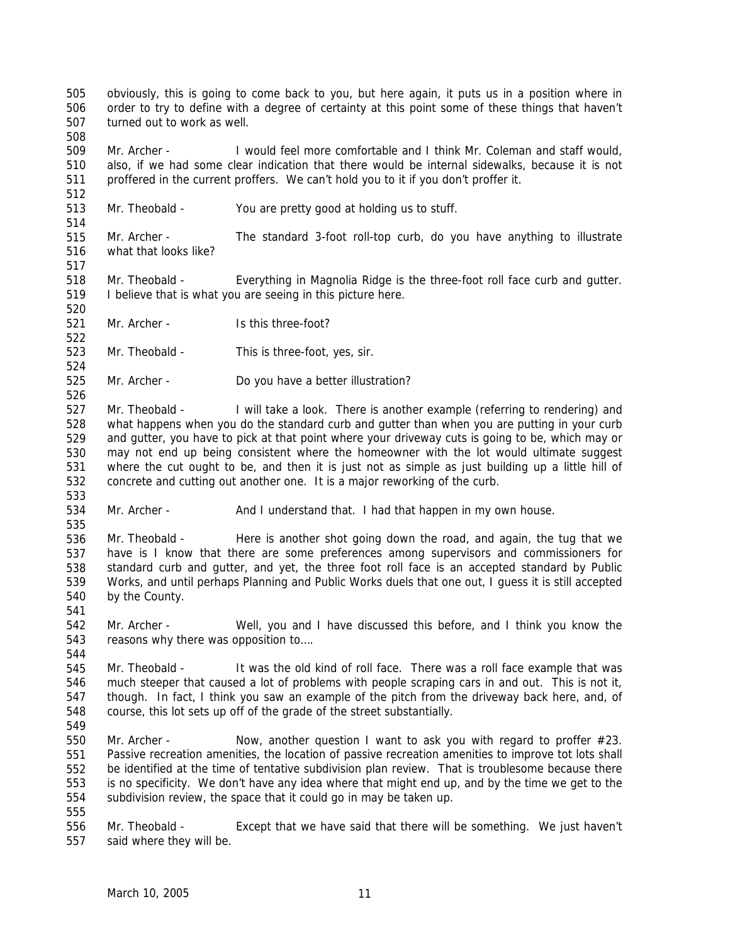505 506 507 obviously, this is going to come back to you, but here again, it puts us in a position where in order to try to define with a degree of certainty at this point some of these things that haven't turned out to work as well.

509 510 511 Mr. Archer - I would feel more comfortable and I think Mr. Coleman and staff would, also, if we had some clear indication that there would be internal sidewalks, because it is not proffered in the current proffers. We can't hold you to it if you don't proffer it.

513 Mr. Theobald - You are pretty good at holding us to stuff.

515 516 Mr. Archer - The standard 3-foot roll-top curb, do you have anything to illustrate what that looks like?

518 519 Mr. Theobald - Everything in Magnolia Ridge is the three-foot roll face curb and gutter. I believe that is what you are seeing in this picture here.

521 Mr. Archer - Is this three-foot?

523 Mr. Theobald - This is three-foot, yes, sir.

525 Mr. Archer - Do you have a better illustration?

527 528 529 530 531 532 Mr. Theobald - I will take a look. There is another example (referring to rendering) and what happens when you do the standard curb and gutter than when you are putting in your curb and gutter, you have to pick at that point where your driveway cuts is going to be, which may or may not end up being consistent where the homeowner with the lot would ultimate suggest where the cut ought to be, and then it is just not as simple as just building up a little hill of concrete and cutting out another one. It is a major reworking of the curb.

534 Mr. Archer - And I understand that. I had that happen in my own house.

536 537 538 539 540 Mr. Theobald - Here is another shot going down the road, and again, the tug that we have is I know that there are some preferences among supervisors and commissioners for standard curb and gutter, and yet, the three foot roll face is an accepted standard by Public Works, and until perhaps Planning and Public Works duels that one out, I guess it is still accepted by the County.

542 543 Mr. Archer - Well, you and I have discussed this before, and I think you know the reasons why there was opposition to….

- 545 546 547 548 549 Mr. Theobald - It was the old kind of roll face. There was a roll face example that was much steeper that caused a lot of problems with people scraping cars in and out. This is not it, though. In fact, I think you saw an example of the pitch from the driveway back here, and, of course, this lot sets up off of the grade of the street substantially.
- 550 551 552 553 554 Mr. Archer - Now, another question I want to ask you with regard to proffer  $\#23$ . Passive recreation amenities, the location of passive recreation amenities to improve tot lots shall be identified at the time of tentative subdivision plan review. That is troublesome because there is no specificity. We don't have any idea where that might end up, and by the time we get to the subdivision review, the space that it could go in may be taken up.
- 555

508

512

514

517

520

522

524

526

533

535

541

544

556 557 Mr. Theobald - Except that we have said that there will be something. We just haven't said where they will be.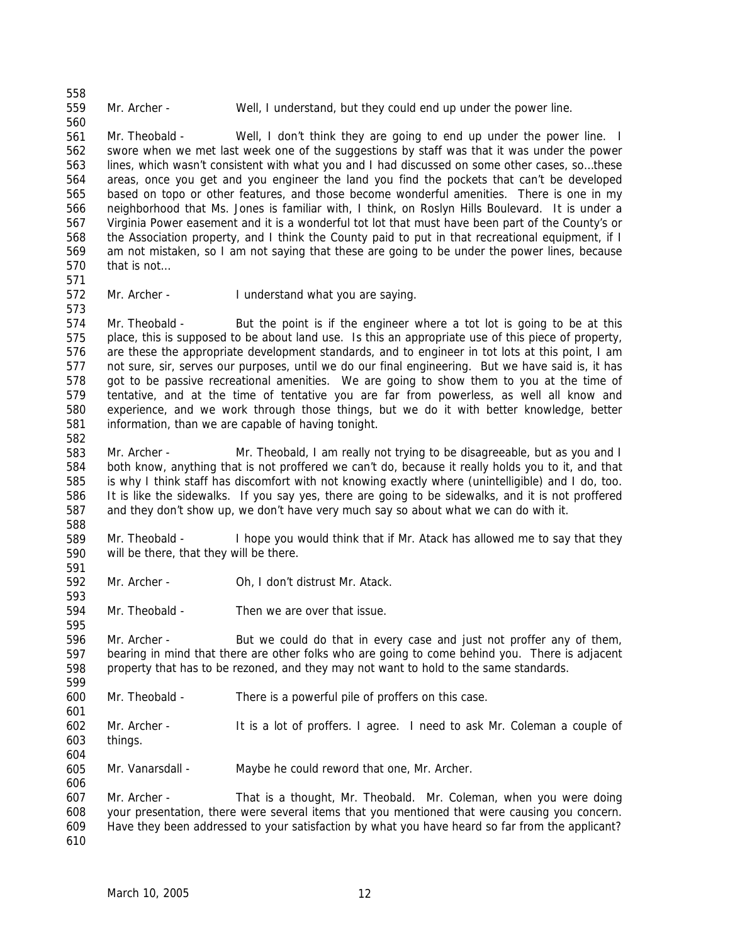558

560

Mr. Archer - Well, I understand, but they could end up under the power line.

561 562 563 564 565 566 567 568 569 570 571 Mr. Theobald - Well, I don't think they are going to end up under the power line. I swore when we met last week one of the suggestions by staff was that it was under the power lines, which wasn't consistent with what you and I had discussed on some other cases, so…these areas, once you get and you engineer the land you find the pockets that can't be developed based on topo or other features, and those become wonderful amenities. There is one in my neighborhood that Ms. Jones is familiar with, I think, on Roslyn Hills Boulevard. It is under a Virginia Power easement and it is a wonderful tot lot that must have been part of the County's or the Association property, and I think the County paid to put in that recreational equipment, if I am not mistaken, so I am not saying that these are going to be under the power lines, because that is not…

572 Mr. Archer - I understand what you are saying.

574 575 576 577 578 579 580 581 Mr. Theobald - But the point is if the engineer where a tot lot is going to be at this place, this is supposed to be about land use. Is this an appropriate use of this piece of property, are these the appropriate development standards, and to engineer in tot lots at this point, I am not sure, sir, serves our purposes, until we do our final engineering. But we have said is, it has got to be passive recreational amenities. We are going to show them to you at the time of tentative, and at the time of tentative you are far from powerless, as well all know and experience, and we work through those things, but we do it with better knowledge, better information, than we are capable of having tonight.

582

591

593

595

599

601

573

583 584 585 586 587 588 Mr. Archer - Mr. Theobald, I am really not trying to be disagreeable, but as you and I both know, anything that is not proffered we can't do, because it really holds you to it, and that is why I think staff has discomfort with not knowing exactly where (unintelligible) and I do, too. It is like the sidewalks. If you say yes, there are going to be sidewalks, and it is not proffered and they don't show up, we don't have very much say so about what we can do with it.

589 590 Mr. Theobald - I hope you would think that if Mr. Atack has allowed me to say that they will be there, that they will be there.

- 592 Mr. Archer - Oh, I don't distrust Mr. Atack.
- 594 Mr. Theobald - Then we are over that issue.

596 597 598 Mr. Archer - But we could do that in every case and just not proffer any of them, bearing in mind that there are other folks who are going to come behind you. There is adjacent property that has to be rezoned, and they may not want to hold to the same standards.

- 600 Mr. Theobald - There is a powerful pile of proffers on this case.
- 602 603 Mr. Archer - It is a lot of proffers. I agree. I need to ask Mr. Coleman a couple of things.

604

606

605 Mr. Vanarsdall - Maybe he could reword that one, Mr. Archer.

607 608 609 610 Mr. Archer - That is a thought, Mr. Theobald. Mr. Coleman, when you were doing your presentation, there were several items that you mentioned that were causing you concern. Have they been addressed to your satisfaction by what you have heard so far from the applicant?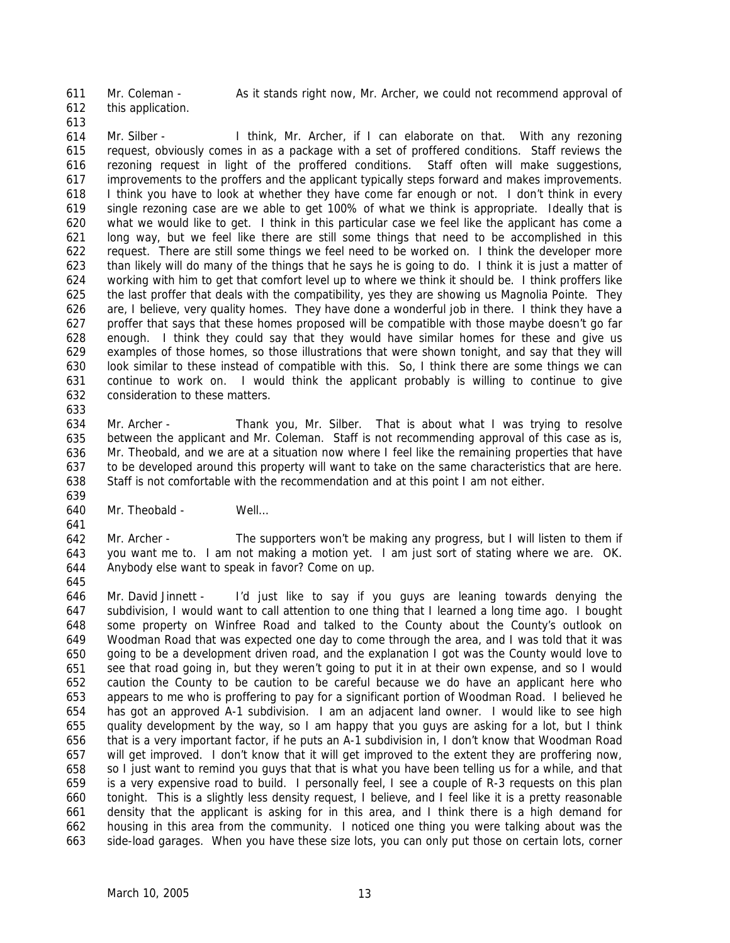Mr. Coleman - As it stands right now, Mr. Archer, we could not recommend approval of

- 612 this application.
- 613

633

611

614 615 616 617 618 619 620 621 622 623 624 625 626 627 628 629 630 631 632 Mr. Silber - I think, Mr. Archer, if I can elaborate on that. With any rezoning request, obviously comes in as a package with a set of proffered conditions. Staff reviews the rezoning request in light of the proffered conditions. Staff often will make suggestions, improvements to the proffers and the applicant typically steps forward and makes improvements. I think you have to look at whether they have come far enough or not. I don't think in every single rezoning case are we able to get 100% of what we think is appropriate. Ideally that is what we would like to get. I think in this particular case we feel like the applicant has come a long way, but we feel like there are still some things that need to be accomplished in this request. There are still some things we feel need to be worked on. I think the developer more than likely will do many of the things that he says he is going to do. I think it is just a matter of working with him to get that comfort level up to where we think it should be. I think proffers like the last proffer that deals with the compatibility, yes they are showing us Magnolia Pointe. They are, I believe, very quality homes. They have done a wonderful job in there. I think they have a proffer that says that these homes proposed will be compatible with those maybe doesn't go far enough. I think they could say that they would have similar homes for these and give us examples of those homes, so those illustrations that were shown tonight, and say that they will look similar to these instead of compatible with this. So, I think there are some things we can continue to work on. I would think the applicant probably is willing to continue to give consideration to these matters.

634 635 636 637 638 639 Mr. Archer - Thank you, Mr. Silber. That is about what I was trying to resolve between the applicant and Mr. Coleman. Staff is not recommending approval of this case as is, Mr. Theobald, and we are at a situation now where I feel like the remaining properties that have to be developed around this property will want to take on the same characteristics that are here. Staff is not comfortable with the recommendation and at this point I am not either.

640 641 Mr. Theobald - Well...

642 643 644 645 Mr. Archer - The supporters won't be making any progress, but I will listen to them if you want me to. I am not making a motion yet. I am just sort of stating where we are. OK. Anybody else want to speak in favor? Come on up.

646 647 648 649 650 651 652 653 654 655 656 657 658 659 660 661 662 663 Mr. David Jinnett - I'd just like to say if you guys are leaning towards denying the subdivision, I would want to call attention to one thing that I learned a long time ago. I bought some property on Winfree Road and talked to the County about the County's outlook on Woodman Road that was expected one day to come through the area, and I was told that it was going to be a development driven road, and the explanation I got was the County would love to see that road going in, but they weren't going to put it in at their own expense, and so I would caution the County to be caution to be careful because we do have an applicant here who appears to me who is proffering to pay for a significant portion of Woodman Road. I believed he has got an approved A-1 subdivision. I am an adjacent land owner. I would like to see high quality development by the way, so I am happy that you guys are asking for a lot, but I think that is a very important factor, if he puts an A-1 subdivision in, I don't know that Woodman Road will get improved. I don't know that it will get improved to the extent they are proffering now, so I just want to remind you guys that that is what you have been telling us for a while, and that is a very expensive road to build. I personally feel, I see a couple of R-3 requests on this plan tonight. This is a slightly less density request, I believe, and I feel like it is a pretty reasonable density that the applicant is asking for in this area, and I think there is a high demand for housing in this area from the community. I noticed one thing you were talking about was the side-load garages. When you have these size lots, you can only put those on certain lots, corner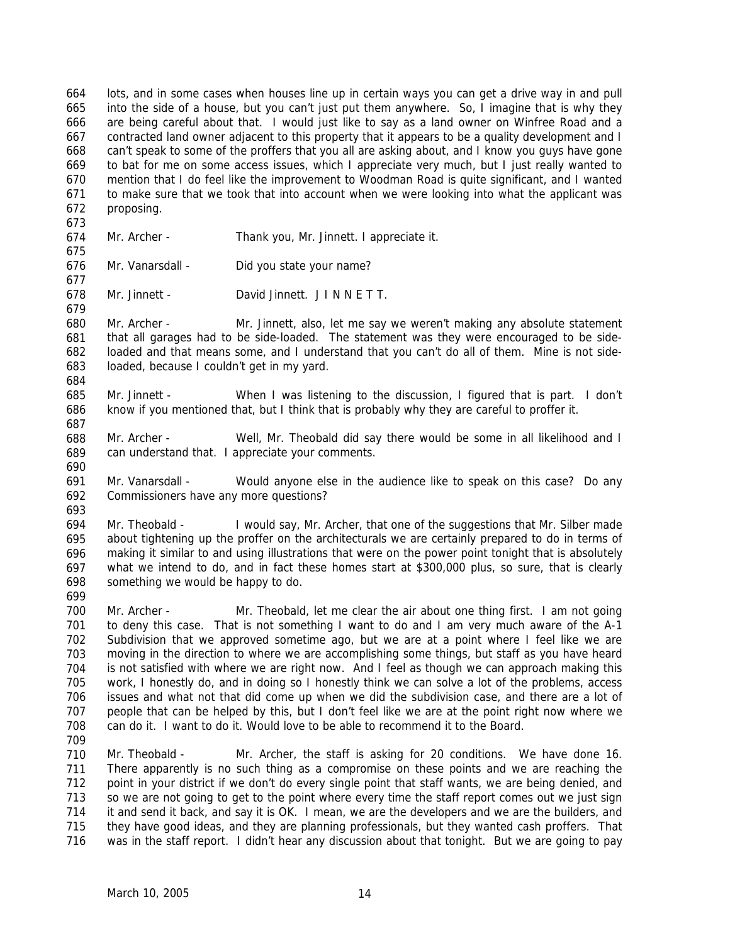664 665 666 667 668 669 670 671 672 lots, and in some cases when houses line up in certain ways you can get a drive way in and pull into the side of a house, but you can't just put them anywhere. So, I imagine that is why they are being careful about that. I would just like to say as a land owner on Winfree Road and a contracted land owner adjacent to this property that it appears to be a quality development and I can't speak to some of the proffers that you all are asking about, and I know you guys have gone to bat for me on some access issues, which I appreciate very much, but I just really wanted to mention that I do feel like the improvement to Woodman Road is quite significant, and I wanted to make sure that we took that into account when we were looking into what the applicant was proposing.

- 674 Mr. Archer - Thank you, Mr. Jinnett. I appreciate it.
- 676 Mr. Vanarsdall - Did you state your name?
- 678 Mr. Jinnett - David Jinnett. J I N N E T T.
- 680 681 682 683 Mr. Archer - Mr. Jinnett, also, let me say we weren't making any absolute statement that all garages had to be side-loaded. The statement was they were encouraged to be sideloaded and that means some, and I understand that you can't do all of them. Mine is not sideloaded, because I couldn't get in my yard.
- 685 686 Mr. Jinnett - When I was listening to the discussion, I figured that is part. I don't know if you mentioned that, but I think that is probably why they are careful to proffer it.
- 688 689 Mr. Archer - Well, Mr. Theobald did say there would be some in all likelihood and I can understand that. I appreciate your comments.
- 691 692 693 Mr. Vanarsdall - Would anyone else in the audience like to speak on this case? Do any Commissioners have any more questions?
- 694 695 696 697 698 Mr. Theobald - I would say, Mr. Archer, that one of the suggestions that Mr. Silber made about tightening up the proffer on the architecturals we are certainly prepared to do in terms of making it similar to and using illustrations that were on the power point tonight that is absolutely what we intend to do, and in fact these homes start at \$300,000 plus, so sure, that is clearly something we would be happy to do.
- 699

673

675

677

679

684

687

690

- 700 701 702 703 704 705 706 707 708 Mr. Archer - Mr. Theobald, let me clear the air about one thing first. I am not going to deny this case. That is not something I want to do and I am very much aware of the A-1 Subdivision that we approved sometime ago, but we are at a point where I feel like we are moving in the direction to where we are accomplishing some things, but staff as you have heard is not satisfied with where we are right now. And I feel as though we can approach making this work, I honestly do, and in doing so I honestly think we can solve a lot of the problems, access issues and what not that did come up when we did the subdivision case, and there are a lot of people that can be helped by this, but I don't feel like we are at the point right now where we can do it. I want to do it. Would love to be able to recommend it to the Board.
- 709

710 711 712 713 714 715 716 Mr. Theobald - Mr. Archer, the staff is asking for 20 conditions. We have done 16. There apparently is no such thing as a compromise on these points and we are reaching the point in your district if we don't do every single point that staff wants, we are being denied, and so we are not going to get to the point where every time the staff report comes out we just sign it and send it back, and say it is OK. I mean, we are the developers and we are the builders, and they have good ideas, and they are planning professionals, but they wanted cash proffers. That was in the staff report. I didn't hear any discussion about that tonight. But we are going to pay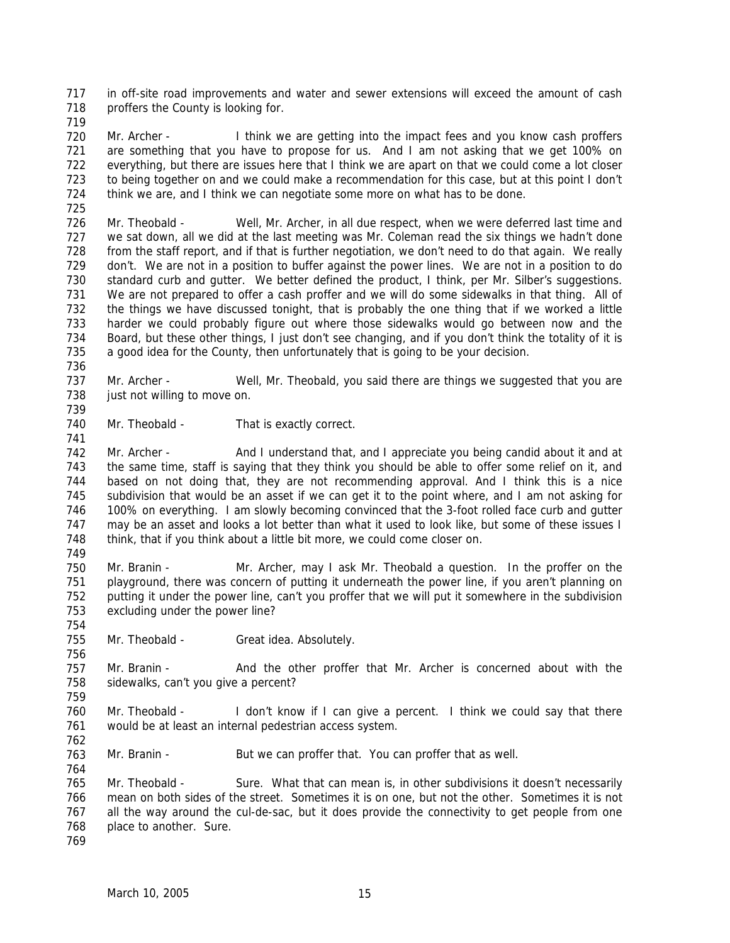717 718 in off-site road improvements and water and sewer extensions will exceed the amount of cash proffers the County is looking for.

719

725

720 721 722 723 724 Mr. Archer - I think we are getting into the impact fees and you know cash proffers are something that you have to propose for us. And I am not asking that we get 100% on everything, but there are issues here that I think we are apart on that we could come a lot closer to being together on and we could make a recommendation for this case, but at this point I don't think we are, and I think we can negotiate some more on what has to be done.

726 727 728 729 730 731 732 733 734 735 736 Mr. Theobald - Well, Mr. Archer, in all due respect, when we were deferred last time and we sat down, all we did at the last meeting was Mr. Coleman read the six things we hadn't done from the staff report, and if that is further negotiation, we don't need to do that again. We really don't. We are not in a position to buffer against the power lines. We are not in a position to do standard curb and gutter. We better defined the product, I think, per Mr. Silber's suggestions. We are not prepared to offer a cash proffer and we will do some sidewalks in that thing. All of the things we have discussed tonight, that is probably the one thing that if we worked a little harder we could probably figure out where those sidewalks would go between now and the Board, but these other things, I just don't see changing, and if you don't think the totality of it is a good idea for the County, then unfortunately that is going to be your decision.

737 738 Mr. Archer - Well, Mr. Theobald, you said there are things we suggested that you are just not willing to move on.

739 740

741

Mr. Theobald - That is exactly correct.

742 743 744 745 746 747 748 Mr. Archer - And I understand that, and I appreciate you being candid about it and at the same time, staff is saying that they think you should be able to offer some relief on it, and based on not doing that, they are not recommending approval. And I think this is a nice subdivision that would be an asset if we can get it to the point where, and I am not asking for 100% on everything. I am slowly becoming convinced that the 3-foot rolled face curb and gutter may be an asset and looks a lot better than what it used to look like, but some of these issues I think, that if you think about a little bit more, we could come closer on.

749

754

756

750 751 752 753 Mr. Branin - Mr. Archer, may I ask Mr. Theobald a question. In the proffer on the playground, there was concern of putting it underneath the power line, if you aren't planning on putting it under the power line, can't you proffer that we will put it somewhere in the subdivision excluding under the power line?

755 Mr. Theobald - Great idea. Absolutely.

757 758 759 Mr. Branin - And the other proffer that Mr. Archer is concerned about with the sidewalks, can't you give a percent?

760 761 762 Mr. Theobald - I don't know if I can give a percent. I think we could say that there would be at least an internal pedestrian access system.

763 Mr. Branin - But we can proffer that. You can proffer that as well.

765 766 767 768 Mr. Theobald - Sure. What that can mean is, in other subdivisions it doesn't necessarily mean on both sides of the street. Sometimes it is on one, but not the other. Sometimes it is not all the way around the cul-de-sac, but it does provide the connectivity to get people from one place to another. Sure.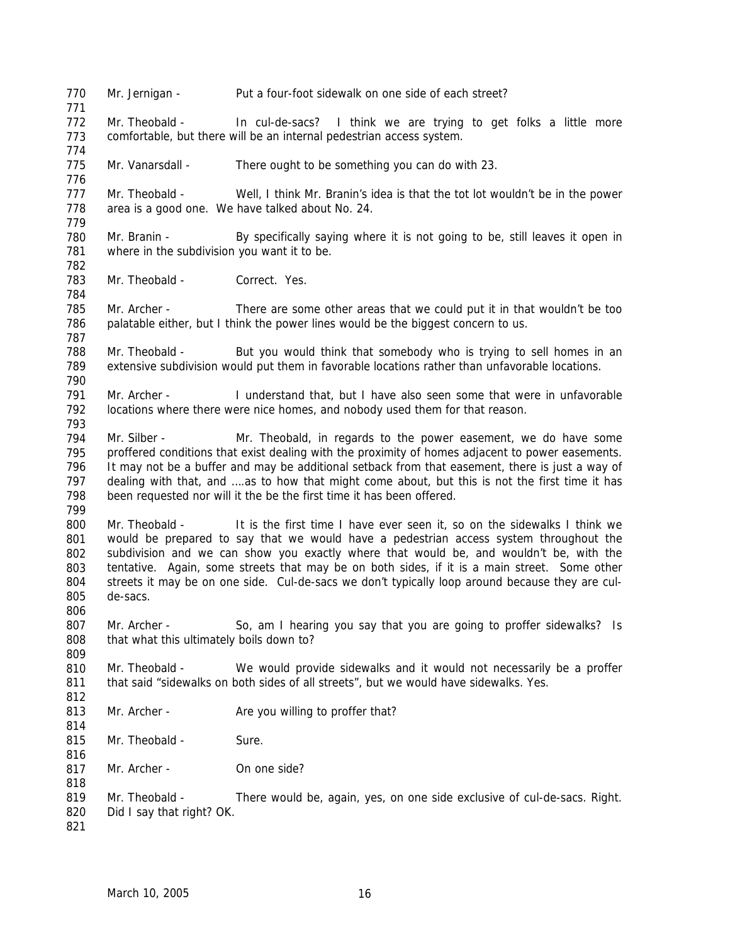770 771 772 773 774 775 776 777 778 779 780 781 782 783 784 785 786 787 788 789 790 791 792 793 794 795 796 797 798 799 800 801 802 803 804 805 806 807 808 809 810 811 812 813 814 815 816 817 818 819 820 821 Mr. Jernigan - Put a four-foot sidewalk on one side of each street? Mr. Theobald - In cul-de-sacs? I think we are trying to get folks a little more comfortable, but there will be an internal pedestrian access system. Mr. Vanarsdall - There ought to be something you can do with 23. Mr. Theobald - Well, I think Mr. Branin's idea is that the tot lot wouldn't be in the power area is a good one. We have talked about No. 24. Mr. Branin - By specifically saying where it is not going to be, still leaves it open in where in the subdivision you want it to be. Mr. Theobald - Correct. Yes. Mr. Archer - There are some other areas that we could put it in that wouldn't be too palatable either, but I think the power lines would be the biggest concern to us. Mr. Theobald - But you would think that somebody who is trying to sell homes in an extensive subdivision would put them in favorable locations rather than unfavorable locations. Mr. Archer - I understand that, but I have also seen some that were in unfavorable locations where there were nice homes, and nobody used them for that reason. Mr. Silber - Mr. Theobald, in regards to the power easement, we do have some proffered conditions that exist dealing with the proximity of homes adjacent to power easements. It may not be a buffer and may be additional setback from that easement, there is just a way of dealing with that, and ….as to how that might come about, but this is not the first time it has been requested nor will it the be the first time it has been offered. Mr. Theobald - It is the first time I have ever seen it, so on the sidewalks I think we would be prepared to say that we would have a pedestrian access system throughout the subdivision and we can show you exactly where that would be, and wouldn't be, with the tentative. Again, some streets that may be on both sides, if it is a main street. Some other streets it may be on one side. Cul-de-sacs we don't typically loop around because they are culde-sacs. Mr. Archer - So, am I hearing you say that you are going to proffer sidewalks? Is that what this ultimately boils down to? Mr. Theobald - We would provide sidewalks and it would not necessarily be a proffer that said "sidewalks on both sides of all streets", but we would have sidewalks. Yes. Mr. Archer - Are you willing to proffer that? Mr. Theobald - Sure. Mr. Archer - On one side? Mr. Theobald - There would be, again, yes, on one side exclusive of cul-de-sacs. Right. Did I say that right? OK.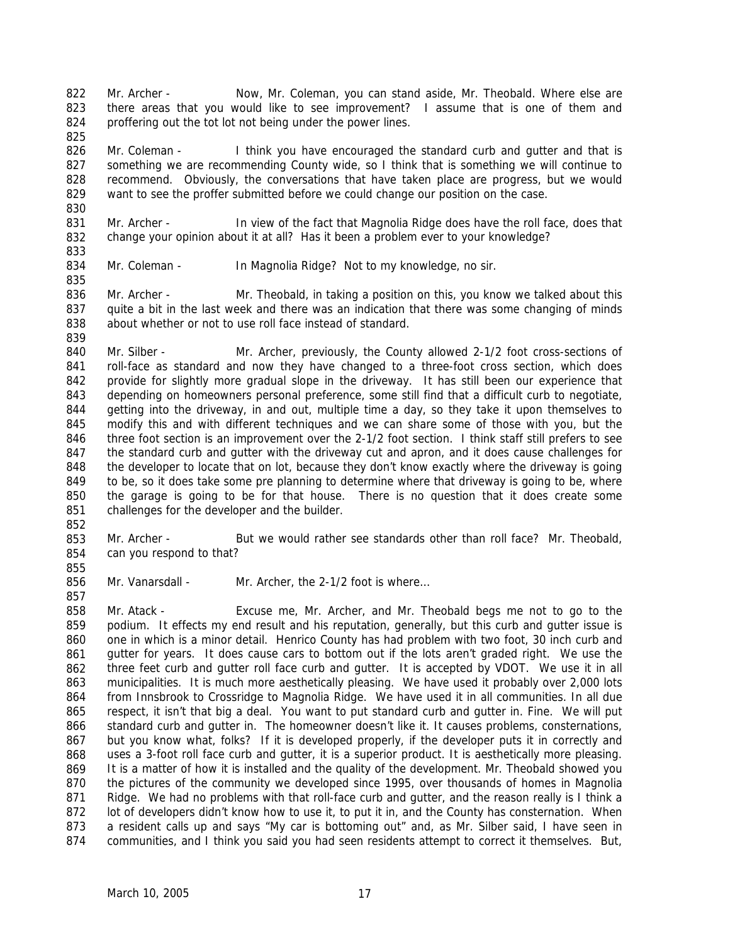822 823 824 825 Mr. Archer - Now, Mr. Coleman, you can stand aside, Mr. Theobald. Where else are there areas that you would like to see improvement? I assume that is one of them and proffering out the tot lot not being under the power lines.

826 827 828 829 Mr. Coleman - I think you have encouraged the standard curb and gutter and that is something we are recommending County wide, so I think that is something we will continue to recommend. Obviously, the conversations that have taken place are progress, but we would want to see the proffer submitted before we could change our position on the case.

831 832 Mr. Archer - In view of the fact that Magnolia Ridge does have the roll face, does that change your opinion about it at all? Has it been a problem ever to your knowledge?

834 Mr. Coleman - In Magnolia Ridge? Not to my knowledge, no sir.

836 837 838 839 Mr. Archer - Mr. Theobald, in taking a position on this, you know we talked about this quite a bit in the last week and there was an indication that there was some changing of minds about whether or not to use roll face instead of standard.

840 841 842 843 844 845 846 847 848 849 850 851 Mr. Silber - Mr. Archer, previously, the County allowed 2-1/2 foot cross-sections of roll-face as standard and now they have changed to a three-foot cross section, which does provide for slightly more gradual slope in the driveway. It has still been our experience that depending on homeowners personal preference, some still find that a difficult curb to negotiate, getting into the driveway, in and out, multiple time a day, so they take it upon themselves to modify this and with different techniques and we can share some of those with you, but the three foot section is an improvement over the 2-1/2 foot section. I think staff still prefers to see the standard curb and gutter with the driveway cut and apron, and it does cause challenges for the developer to locate that on lot, because they don't know exactly where the driveway is going to be, so it does take some pre planning to determine where that driveway is going to be, where the garage is going to be for that house. There is no question that it does create some challenges for the developer and the builder.

852

855

857

830

833

835

853 854 Mr. Archer - But we would rather see standards other than roll face? Mr. Theobald, can you respond to that?

856 Mr. Vanarsdall - Mr. Archer, the 2-1/2 foot is where...

858 859 860 861 862 863 864 865 866 867 868 869 870 871 872 873 874 Mr. Atack - Excuse me, Mr. Archer, and Mr. Theobald begs me not to go to the podium. It effects my end result and his reputation, generally, but this curb and gutter issue is one in which is a minor detail. Henrico County has had problem with two foot, 30 inch curb and gutter for years. It does cause cars to bottom out if the lots aren't graded right. We use the three feet curb and gutter roll face curb and gutter. It is accepted by VDOT. We use it in all municipalities. It is much more aesthetically pleasing. We have used it probably over 2,000 lots from Innsbrook to Crossridge to Magnolia Ridge. We have used it in all communities. In all due respect, it isn't that big a deal. You want to put standard curb and gutter in. Fine. We will put standard curb and gutter in. The homeowner doesn't like it. It causes problems, consternations, but you know what, folks? If it is developed properly, if the developer puts it in correctly and uses a 3-foot roll face curb and gutter, it is a superior product. It is aesthetically more pleasing. It is a matter of how it is installed and the quality of the development. Mr. Theobald showed you the pictures of the community we developed since 1995, over thousands of homes in Magnolia Ridge. We had no problems with that roll-face curb and gutter, and the reason really is I think a lot of developers didn't know how to use it, to put it in, and the County has consternation. When a resident calls up and says "My car is bottoming out" and, as Mr. Silber said, I have seen in communities, and I think you said you had seen residents attempt to correct it themselves. But,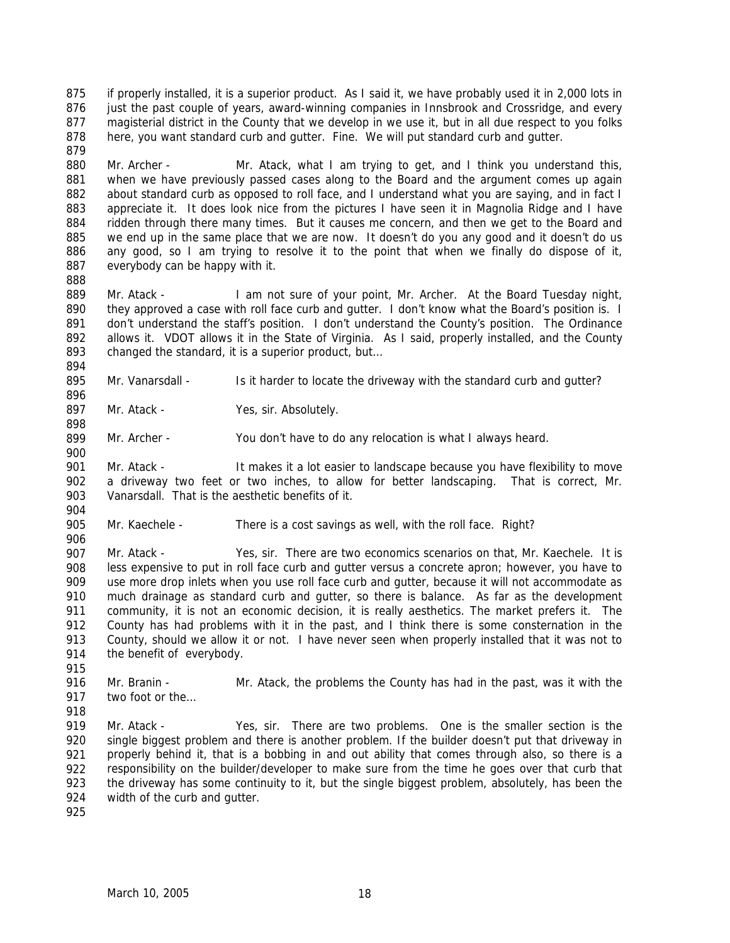875 876 877 878 879 if properly installed, it is a superior product. As I said it, we have probably used it in 2,000 lots in just the past couple of years, award-winning companies in Innsbrook and Crossridge, and every magisterial district in the County that we develop in we use it, but in all due respect to you folks here, you want standard curb and gutter. Fine. We will put standard curb and gutter.

880 881 882 883 884 885 886 887 Mr. Archer - Mr. Atack, what I am trying to get, and I think you understand this, when we have previously passed cases along to the Board and the argument comes up again about standard curb as opposed to roll face, and I understand what you are saying, and in fact I appreciate it. It does look nice from the pictures I have seen it in Magnolia Ridge and I have ridden through there many times. But it causes me concern, and then we get to the Board and we end up in the same place that we are now. It doesn't do you any good and it doesn't do us any good, so I am trying to resolve it to the point that when we finally do dispose of it, everybody can be happy with it.

888

896

898

889 890 891 892 893 894 Mr. Atack - I am not sure of your point, Mr. Archer. At the Board Tuesday night, they approved a case with roll face curb and gutter. I don't know what the Board's position is. I don't understand the staff's position. I don't understand the County's position. The Ordinance allows it. VDOT allows it in the State of Virginia. As I said, properly installed, and the County changed the standard, it is a superior product, but…

895 Mr. Vanarsdall - Is it harder to locate the driveway with the standard curb and gutter?

897 Mr. Atack - Yes, sir. Absolutely.

899 900 Mr. Archer - You don't have to do any relocation is what I always heard.

901 902 903 904 Mr. Atack - It makes it a lot easier to landscape because you have flexibility to move a driveway two feet or two inches, to allow for better landscaping. That is correct, Mr. Vanarsdall. That is the aesthetic benefits of it.

905 Mr. Kaechele - There is a cost savings as well, with the roll face. Right?

906 907

908 909 910 911 912 913 914 Mr. Atack - Yes, sir. There are two economics scenarios on that, Mr. Kaechele. It is less expensive to put in roll face curb and gutter versus a concrete apron; however, you have to use more drop inlets when you use roll face curb and gutter, because it will not accommodate as much drainage as standard curb and gutter, so there is balance. As far as the development community, it is not an economic decision, it is really aesthetics. The market prefers it. The County has had problems with it in the past, and I think there is some consternation in the County, should we allow it or not. I have never seen when properly installed that it was not to the benefit of everybody.

916 917 Mr. Branin - Mr. Atack, the problems the County has had in the past, was it with the two foot or the…

918 919 920 921 922 923 924 Mr. Atack - Yes, sir. There are two problems. One is the smaller section is the single biggest problem and there is another problem. If the builder doesn't put that driveway in properly behind it, that is a bobbing in and out ability that comes through also, so there is a responsibility on the builder/developer to make sure from the time he goes over that curb that the driveway has some continuity to it, but the single biggest problem, absolutely, has been the width of the curb and gutter.

925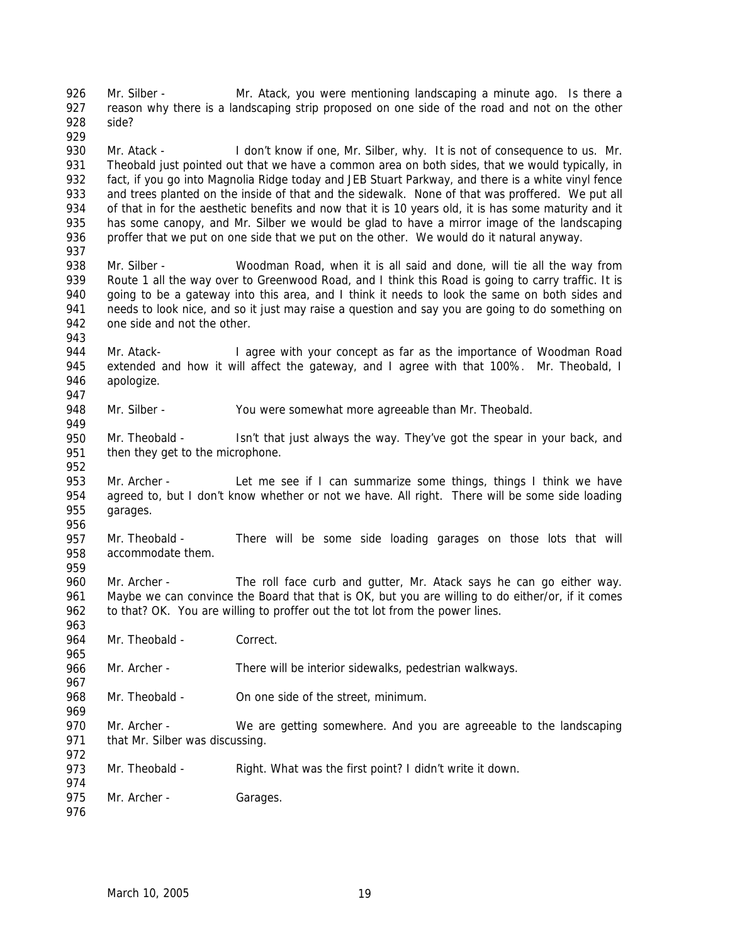926 927 928 Mr. Silber - Mr. Atack, you were mentioning landscaping a minute ago. Is there a reason why there is a landscaping strip proposed on one side of the road and not on the other side?

930 931 932 933 934 935 936 937 Mr. Atack - I don't know if one, Mr. Silber, why. It is not of consequence to us. Mr. Theobald just pointed out that we have a common area on both sides, that we would typically, in fact, if you go into Magnolia Ridge today and JEB Stuart Parkway, and there is a white vinyl fence and trees planted on the inside of that and the sidewalk. None of that was proffered. We put all of that in for the aesthetic benefits and now that it is 10 years old, it is has some maturity and it has some canopy, and Mr. Silber we would be glad to have a mirror image of the landscaping proffer that we put on one side that we put on the other. We would do it natural anyway.

- 938 939 940 941 942 Mr. Silber - Woodman Road, when it is all said and done, will tie all the way from Route 1 all the way over to Greenwood Road, and I think this Road is going to carry traffic. It is going to be a gateway into this area, and I think it needs to look the same on both sides and needs to look nice, and so it just may raise a question and say you are going to do something on one side and not the other.
- 943

949

959

963

965

967

969

972

974

929

944 945 946 947 Mr. Atack- I agree with your concept as far as the importance of Woodman Road extended and how it will affect the gateway, and I agree with that 100%. Mr. Theobald, I apologize.

948 Mr. Silber - You were somewhat more agreeable than Mr. Theobald.

950 951 952 Mr. Theobald - Isn't that just always the way. They've got the spear in your back, and then they get to the microphone.

953 954 955 956 Mr. Archer - Let me see if I can summarize some things, things I think we have agreed to, but I don't know whether or not we have. All right. There will be some side loading garages.

957 958 Mr. Theobald - There will be some side loading garages on those lots that will accommodate them.

960 961 962 Mr. Archer - The roll face curb and gutter, Mr. Atack says he can go either way. Maybe we can convince the Board that that is OK, but you are willing to do either/or, if it comes to that? OK. You are willing to proffer out the tot lot from the power lines.

964 Mr. Theobald - Correct.

966 Mr. Archer - There will be interior sidewalks, pedestrian walkways.

968 Mr. Theobald - On one side of the street, minimum.

970 971 Mr. Archer - We are getting somewhere. And you are agreeable to the landscaping that Mr. Silber was discussing.

973 Mr. Theobald - Right. What was the first point? I didn't write it down.

975 Mr. Archer - Garages.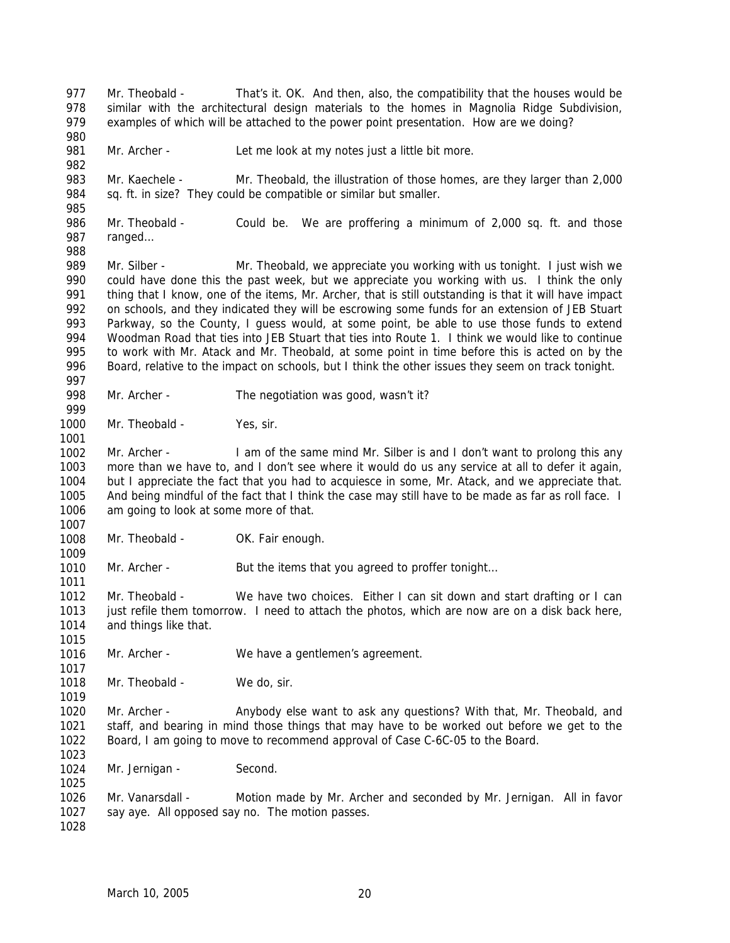977 978 979 980 981 982 983 984 985 986 987 988 989 990 991 992 993 994 995 996 997 998 999 1000 1001 1002 1003 1004 1005 1006 1007 1008 1009 1010 1011 1012 1013 1014 1015 1016 1017 1018 1019 1020 1021 1022 1023 1024 1025 1026 1027 1028 Mr. Theobald - That's it. OK. And then, also, the compatibility that the houses would be similar with the architectural design materials to the homes in Magnolia Ridge Subdivision, examples of which will be attached to the power point presentation. How are we doing? Mr. Archer - Let me look at my notes just a little bit more. Mr. Kaechele - Mr. Theobald, the illustration of those homes, are they larger than 2,000 sq. ft. in size? They could be compatible or similar but smaller. Mr. Theobald - Could be. We are proffering a minimum of 2,000 sq. ft. and those ranged… Mr. Silber - Mr. Theobald, we appreciate you working with us tonight. I just wish we could have done this the past week, but we appreciate you working with us. I think the only thing that I know, one of the items, Mr. Archer, that is still outstanding is that it will have impact on schools, and they indicated they will be escrowing some funds for an extension of JEB Stuart Parkway, so the County, I guess would, at some point, be able to use those funds to extend Woodman Road that ties into JEB Stuart that ties into Route 1. I think we would like to continue to work with Mr. Atack and Mr. Theobald, at some point in time before this is acted on by the Board, relative to the impact on schools, but I think the other issues they seem on track tonight. Mr. Archer - The negotiation was good, wasn't it? Mr. Theobald - Yes, sir. Mr. Archer - I am of the same mind Mr. Silber is and I don't want to prolong this any more than we have to, and I don't see where it would do us any service at all to defer it again, but I appreciate the fact that you had to acquiesce in some, Mr. Atack, and we appreciate that. And being mindful of the fact that I think the case may still have to be made as far as roll face. I am going to look at some more of that. Mr. Theobald - OK. Fair enough. Mr. Archer - But the items that you agreed to proffer tonight... Mr. Theobald - We have two choices. Either I can sit down and start drafting or I can just refile them tomorrow. I need to attach the photos, which are now are on a disk back here, and things like that. Mr. Archer - We have a gentlemen's agreement. Mr. Theobald - We do, sir. Mr. Archer - Anybody else want to ask any questions? With that, Mr. Theobald, and staff, and bearing in mind those things that may have to be worked out before we get to the Board, I am going to move to recommend approval of Case C-6C-05 to the Board. Mr. Jernigan - Second. Mr. Vanarsdall - Motion made by Mr. Archer and seconded by Mr. Jernigan. All in favor say aye. All opposed say no. The motion passes.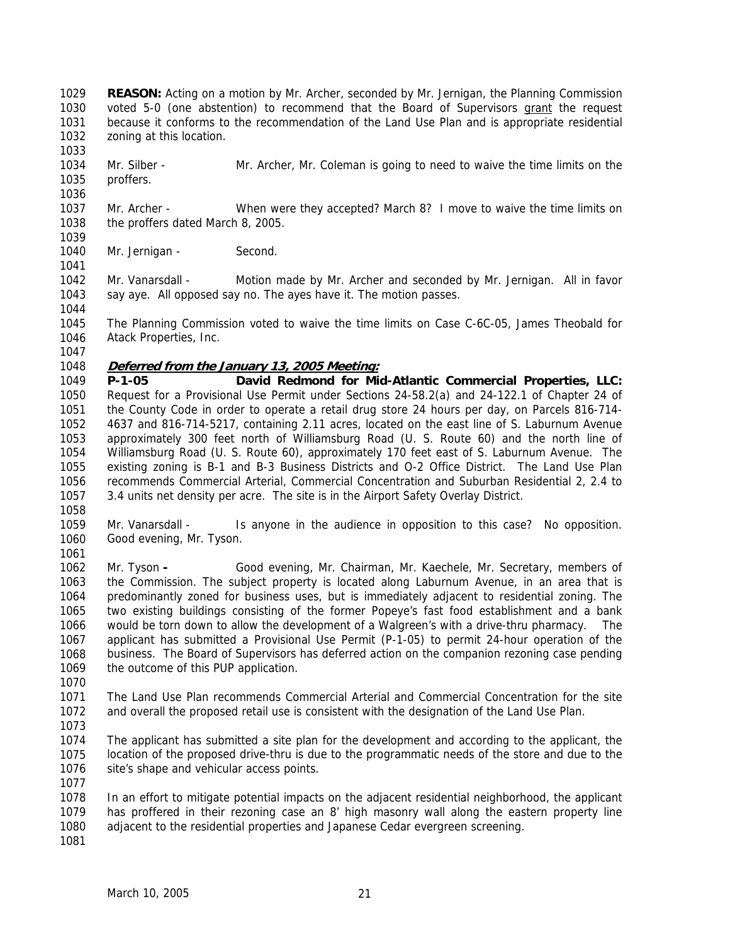**REASON:** Acting on a motion by Mr. Archer, seconded by Mr. Jernigan, the Planning Commission voted 5-0 (one abstention) to recommend that the Board of Supervisors grant the request 1029 because it conforms to the recommendation of the Land Use Plan and is appropriate residential zoning at this location. 1030 1031 1032

1034 1035 Mr. Silber - Mr. Archer, Mr. Coleman is going to need to waive the time limits on the proffers.

1037 1038 1039 Mr. Archer - When were they accepted? March 8? I move to waive the time limits on the proffers dated March 8, 2005.

1040 Mr. Jernigan - Second.

1042 1043 Mr. Vanarsdall - Motion made by Mr. Archer and seconded by Mr. Jernigan. All in favor say aye. All opposed say no. The ayes have it. The motion passes.

1045 1046 The Planning Commission voted to waive the time limits on Case C-6C-05, James Theobald for Atack Properties, Inc.

1047

1033

1036

1041

1044

# 1048 **Deferred from the January 13, 2005 Meeting:**

1049 1050 1051 1052 1053 1054 1055 1056 1057 **P-1-05 David Redmond for Mid-Atlantic Commercial Properties, LLC:** Request for a Provisional Use Permit under Sections 24-58.2(a) and 24-122.1 of Chapter 24 of the County Code in order to operate a retail drug store 24 hours per day, on Parcels 816-714- 4637 and 816-714-5217, containing 2.11 acres, located on the east line of S. Laburnum Avenue approximately 300 feet north of Williamsburg Road (U. S. Route 60) and the north line of Williamsburg Road (U. S. Route 60), approximately 170 feet east of S. Laburnum Avenue. The existing zoning is B-1 and B-3 Business Districts and O-2 Office District. The Land Use Plan recommends Commercial Arterial, Commercial Concentration and Suburban Residential 2, 2.4 to 3.4 units net density per acre. The site is in the Airport Safety Overlay District.

1058

1059 1060 Mr. Vanarsdall - Is anyone in the audience in opposition to this case? No opposition. Good evening, Mr. Tyson.

1061

1062 1063 1064 1065 1066 1067 1068 1069 Mr. Tyson **-** Good evening, Mr. Chairman, Mr. Kaechele, Mr. Secretary, members of the Commission. The subject property is located along Laburnum Avenue, in an area that is predominantly zoned for business uses, but is immediately adjacent to residential zoning. The two existing buildings consisting of the former Popeye's fast food establishment and a bank would be torn down to allow the development of a Walgreen's with a drive-thru pharmacy. The applicant has submitted a Provisional Use Permit (P-1-05) to permit 24-hour operation of the business. The Board of Supervisors has deferred action on the companion rezoning case pending the outcome of this PUP application.

1070

1071 1072 The Land Use Plan recommends Commercial Arterial and Commercial Concentration for the site and overall the proposed retail use is consistent with the designation of the Land Use Plan.

1073

1074 1075 1076 1077 The applicant has submitted a site plan for the development and according to the applicant, the location of the proposed drive-thru is due to the programmatic needs of the store and due to the site's shape and vehicular access points.

1078 1079 1080 In an effort to mitigate potential impacts on the adjacent residential neighborhood, the applicant has proffered in their rezoning case an 8' high masonry wall along the eastern property line adjacent to the residential properties and Japanese Cedar evergreen screening.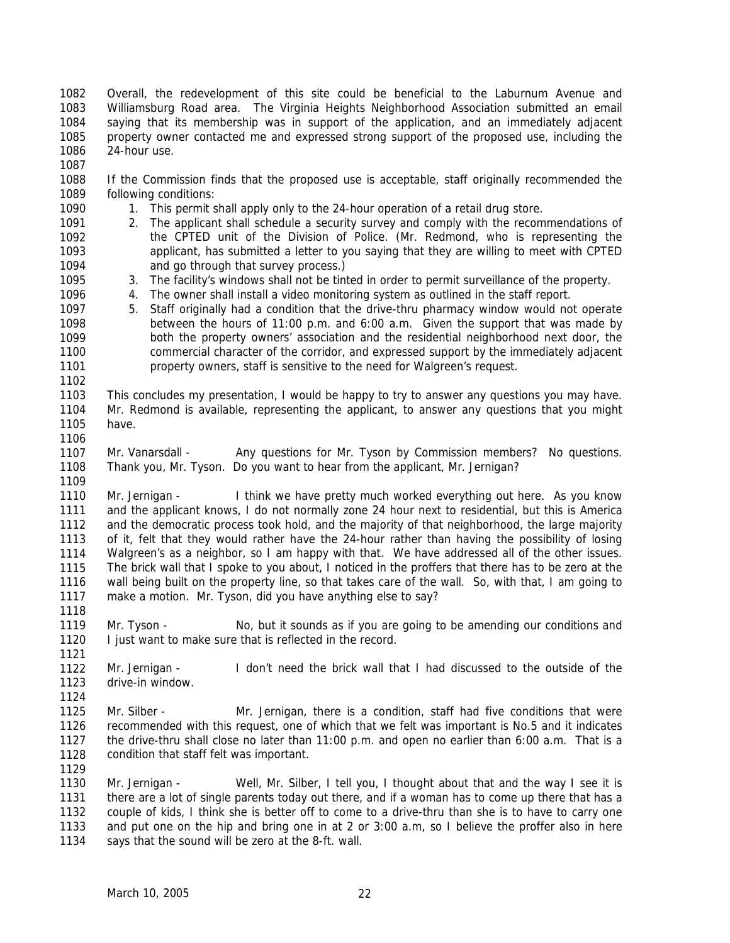1082 1083 1084 1085 1086 1087 Overall, the redevelopment of this site could be beneficial to the Laburnum Avenue and Williamsburg Road area. The Virginia Heights Neighborhood Association submitted an email saying that its membership was in support of the application, and an immediately adjacent property owner contacted me and expressed strong support of the proposed use, including the 24-hour use.

- 1088 1089 If the Commission finds that the proposed use is acceptable, staff originally recommended the following conditions:
	- 1. This permit shall apply only to the 24-hour operation of a retail drug store.
- 1091 1092 1093 1094 2. The applicant shall schedule a security survey and comply with the recommendations of the CPTED unit of the Division of Police. (Mr. Redmond, who is representing the applicant, has submitted a letter to you saying that they are willing to meet with CPTED and go through that survey process.)
	- 3. The facility's windows shall not be tinted in order to permit surveillance of the property.
	- 4. The owner shall install a video monitoring system as outlined in the staff report.
- 1097 1098 1099 1100 1101 5. Staff originally had a condition that the drive-thru pharmacy window would not operate between the hours of 11:00 p.m. and 6:00 a.m. Given the support that was made by both the property owners' association and the residential neighborhood next door, the commercial character of the corridor, and expressed support by the immediately adjacent property owners, staff is sensitive to the need for Walgreen's request.
- 1103 1104 1105 1106 This concludes my presentation, I would be happy to try to answer any questions you may have. Mr. Redmond is available, representing the applicant, to answer any questions that you might have.
- 1107 1108 1109 Mr. Vanarsdall - Any questions for Mr. Tyson by Commission members? No questions. Thank you, Mr. Tyson. Do you want to hear from the applicant, Mr. Jernigan?
- 1110 1111 1112 1113 1114 1115 1116 1117 Mr. Jernigan - I think we have pretty much worked everything out here. As you know and the applicant knows, I do not normally zone 24 hour next to residential, but this is America and the democratic process took hold, and the majority of that neighborhood, the large majority of it, felt that they would rather have the 24-hour rather than having the possibility of losing Walgreen's as a neighbor, so I am happy with that. We have addressed all of the other issues. The brick wall that I spoke to you about, I noticed in the proffers that there has to be zero at the wall being built on the property line, so that takes care of the wall. So, with that, I am going to make a motion. Mr. Tyson, did you have anything else to say?
- 1119 1120 Mr. Tyson - No, but it sounds as if you are going to be amending our conditions and I just want to make sure that is reflected in the record.
- 1122 1123 1124 Mr. Jernigan - I don't need the brick wall that I had discussed to the outside of the drive-in window.
- 1125 1126 1127 1128 Mr. Silber - Mr. Jernigan, there is a condition, staff had five conditions that were recommended with this request, one of which that we felt was important is No.5 and it indicates the drive-thru shall close no later than 11:00 p.m. and open no earlier than 6:00 a.m. That is a condition that staff felt was important.
- 1130 1131 1132 1133 1134 Mr. Jernigan - Well, Mr. Silber, I tell you, I thought about that and the way I see it is there are a lot of single parents today out there, and if a woman has to come up there that has a couple of kids, I think she is better off to come to a drive-thru than she is to have to carry one and put one on the hip and bring one in at 2 or 3:00 a.m, so I believe the proffer also in here says that the sound will be zero at the 8-ft. wall.

1090

1095 1096

1102

1118

1121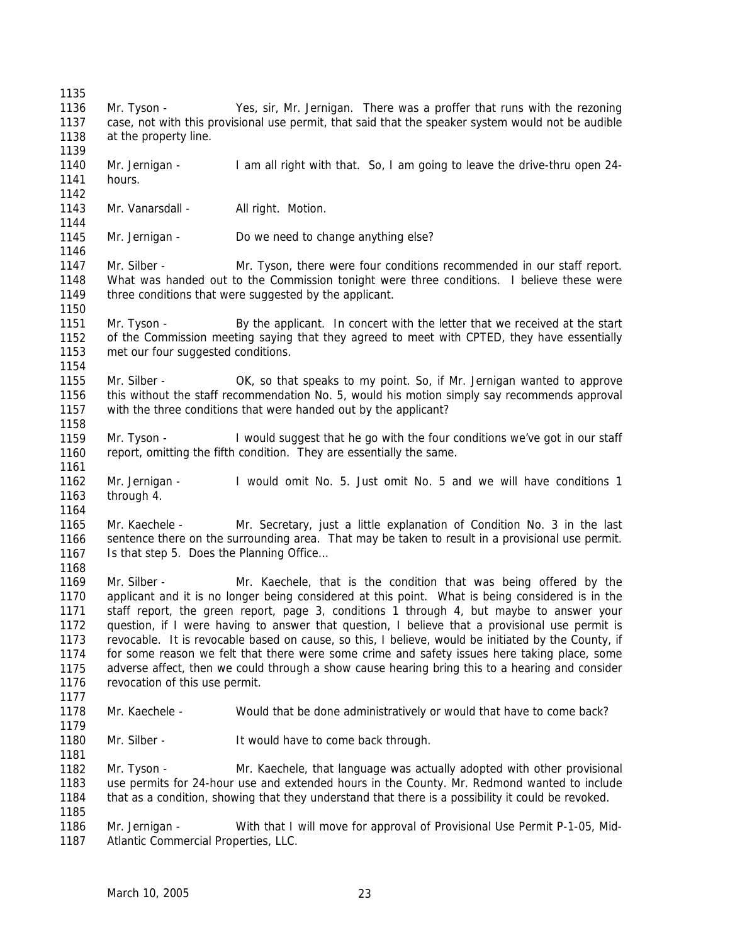1142

1144

1146

1150

1154

1158

1161

1164

1168

1177

1179

1181

- 1136 1137 1138 Mr. Tyson - Yes, sir, Mr. Jernigan. There was a proffer that runs with the rezoning case, not with this provisional use permit, that said that the speaker system would not be audible at the property line.
- 1139 1140 1141 Mr. Jernigan - I am all right with that. So, I am going to leave the drive-thru open 24hours.
- 1143 Mr. Vanarsdall - All right. Motion.
- 1145 Mr. Jernigan - Do we need to change anything else?

1147 1148 1149 Mr. Silber - Mr. Tyson, there were four conditions recommended in our staff report. What was handed out to the Commission tonight were three conditions. I believe these were three conditions that were suggested by the applicant.

- 1151 1152 1153 Mr. Tyson - By the applicant. In concert with the letter that we received at the start of the Commission meeting saying that they agreed to meet with CPTED, they have essentially met our four suggested conditions.
- 1155 1156 1157 Mr. Silber - **OK, so that speaks to my point. So, if Mr. Jernigan wanted to approve** this without the staff recommendation No. 5, would his motion simply say recommends approval with the three conditions that were handed out by the applicant?
- 1159 1160 Mr. Tyson - I would suggest that he go with the four conditions we've got in our staff report, omitting the fifth condition. They are essentially the same.
- 1162 1163 Mr. Jernigan - I would omit No. 5. Just omit No. 5 and we will have conditions 1 through 4.

1165 1166 1167 Mr. Kaechele - Mr. Secretary, just a little explanation of Condition No. 3 in the last sentence there on the surrounding area. That may be taken to result in a provisional use permit. Is that step 5. Does the Planning Office…

1169 1170 1171 1172 1173 1174 1175 1176 Mr. Silber - Mr. Kaechele, that is the condition that was being offered by the applicant and it is no longer being considered at this point. What is being considered is in the staff report, the green report, page 3, conditions 1 through 4, but maybe to answer your question, if I were having to answer that question, I believe that a provisional use permit is revocable. It is revocable based on cause, so this, I believe, would be initiated by the County, if for some reason we felt that there were some crime and safety issues here taking place, some adverse affect, then we could through a show cause hearing bring this to a hearing and consider revocation of this use permit.

- 1178 Mr. Kaechele - Would that be done administratively or would that have to come back?
- 1180 Mr. Silber - It would have to come back through.

1182 1183 1184 1185 Mr. Tyson - Mr. Kaechele, that language was actually adopted with other provisional use permits for 24-hour use and extended hours in the County. Mr. Redmond wanted to include that as a condition, showing that they understand that there is a possibility it could be revoked.

1186 1187 Mr. Jernigan - With that I will move for approval of Provisional Use Permit P-1-05, Mid-Atlantic Commercial Properties, LLC.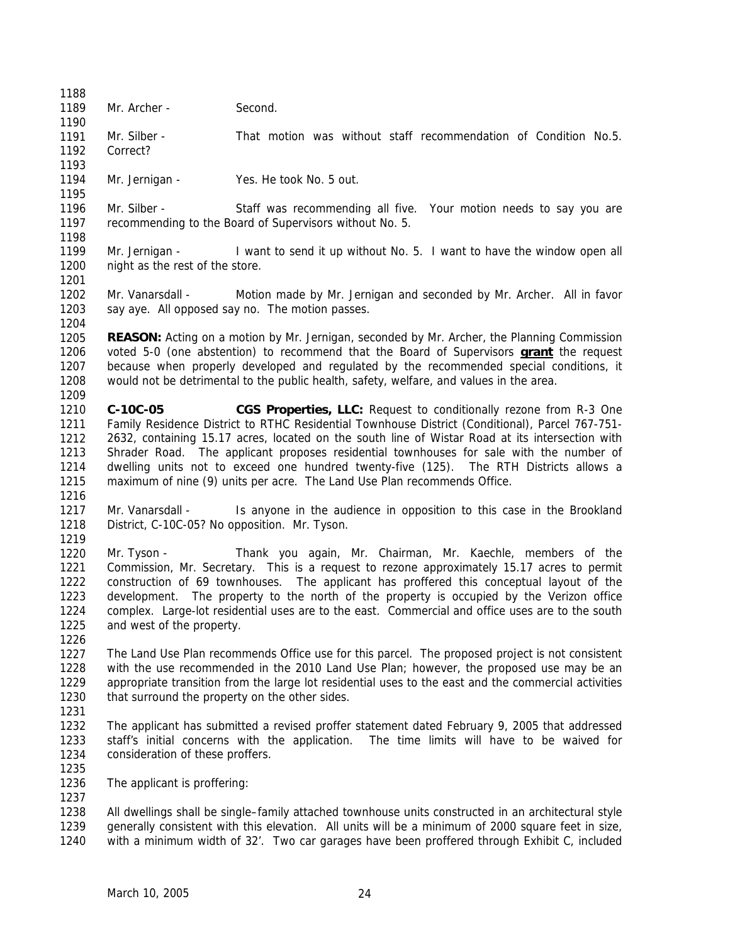1189

1193

1195

1201

1204

Mr. Archer - Second.

1190 1191 1192 Mr. Silber - That motion was without staff recommendation of Condition No.5. Correct?

- 1194 Mr. Jernigan - Yes. He took No. 5 out.
- 1196 1197 1198 Mr. Silber - Staff was recommending all five. Your motion needs to say you are recommending to the Board of Supervisors without No. 5.
- 1199 1200 Mr. Jernigan - I want to send it up without No. 5. I want to have the window open all night as the rest of the store.
- 1202 1203 Mr. Vanarsdall - Motion made by Mr. Jernigan and seconded by Mr. Archer. All in favor say aye. All opposed say no. The motion passes.
- 1205 **REASON:** Acting on a motion by Mr. Jernigan, seconded by Mr. Archer, the Planning Commission voted 5-0 (one abstention) to recommend that the Board of Supervisors **grant** the request because when properly developed and regulated by the recommended special conditions, it would not be detrimental to the public health, safety, welfare, and values in the area. 1206 1207 1208 1209
- 1210 1211 1212 1213 1214 1215 **C-10C-05 CGS Properties, LLC:** Request to conditionally rezone from R-3 One Family Residence District to RTHC Residential Townhouse District (Conditional), Parcel 767-751- 2632, containing 15.17 acres, located on the south line of Wistar Road at its intersection with Shrader Road. The applicant proposes residential townhouses for sale with the number of dwelling units not to exceed one hundred twenty-five (125). The RTH Districts allows a maximum of nine (9) units per acre. The Land Use Plan recommends Office.
- 1216
- 1217 1218 Mr. Vanarsdall - Is anyone in the audience in opposition to this case in the Brookland District, C-10C-05? No opposition. Mr. Tyson.
- 1219

1220 1221 1222 1223 1224 1225 Mr. Tyson - Thank you again, Mr. Chairman, Mr. Kaechle, members of the Commission, Mr. Secretary. This is a request to rezone approximately 15.17 acres to permit construction of 69 townhouses. The applicant has proffered this conceptual layout of the development. The property to the north of the property is occupied by the Verizon office complex. Large-lot residential uses are to the east. Commercial and office uses are to the south and west of the property.

1226

1227 1228 1229 1230 The Land Use Plan recommends Office use for this parcel. The proposed project is not consistent with the use recommended in the 2010 Land Use Plan; however, the proposed use may be an appropriate transition from the large lot residential uses to the east and the commercial activities that surround the property on the other sides.

1231

1235

1237

- 1232 1233 1234 The applicant has submitted a revised proffer statement dated February 9, 2005 that addressed staff's initial concerns with the application. The time limits will have to be waived for consideration of these proffers.
- 1236 The applicant is proffering:

1238 1239 1240 All dwellings shall be single–family attached townhouse units constructed in an architectural style generally consistent with this elevation. All units will be a minimum of 2000 square feet in size, with a minimum width of 32'. Two car garages have been proffered through Exhibit C, included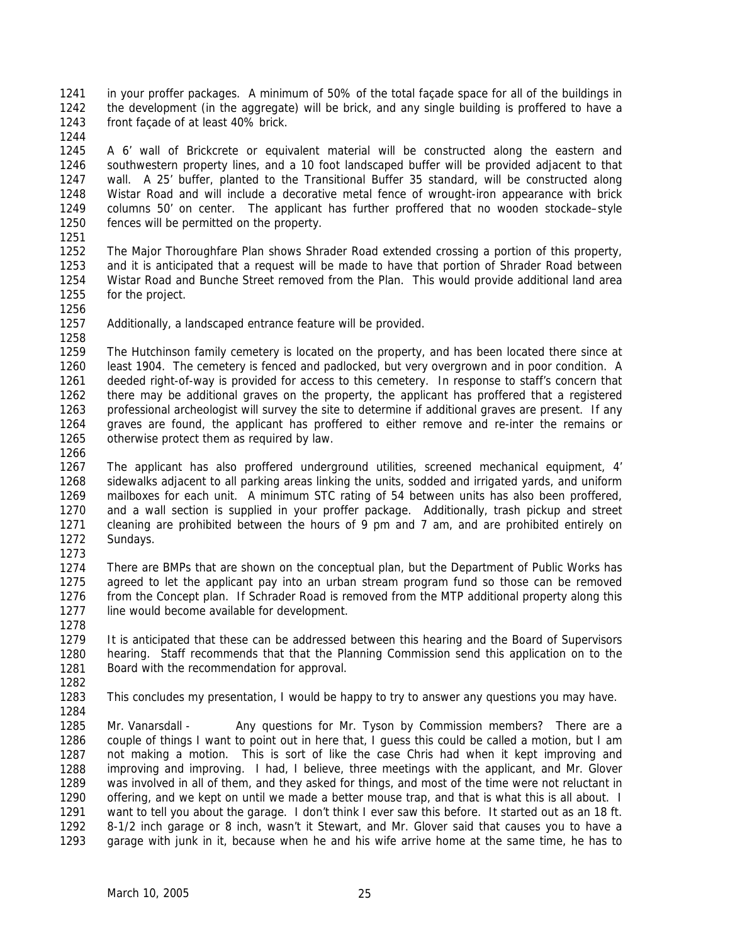1241 1242 1243 in your proffer packages. A minimum of 50% of the total façade space for all of the buildings in the development (in the aggregate) will be brick, and any single building is proffered to have a front façade of at least 40% brick.

1244

1245 1246 1247 1248 1249 1250 A 6' wall of Brickcrete or equivalent material will be constructed along the eastern and southwestern property lines, and a 10 foot landscaped buffer will be provided adjacent to that wall. A 25' buffer, planted to the Transitional Buffer 35 standard, will be constructed along Wistar Road and will include a decorative metal fence of wrought-iron appearance with brick columns 50' on center. The applicant has further proffered that no wooden stockade–style fences will be permitted on the property.

1251

1252 1253 1254 1255 The Major Thoroughfare Plan shows Shrader Road extended crossing a portion of this property, and it is anticipated that a request will be made to have that portion of Shrader Road between Wistar Road and Bunche Street removed from the Plan. This would provide additional land area for the project.

1256

1258

1257 Additionally, a landscaped entrance feature will be provided.

1259 1260 1261 1262 1263 1264 1265 The Hutchinson family cemetery is located on the property, and has been located there since at least 1904. The cemetery is fenced and padlocked, but very overgrown and in poor condition. A deeded right-of-way is provided for access to this cemetery. In response to staff's concern that there may be additional graves on the property, the applicant has proffered that a registered professional archeologist will survey the site to determine if additional graves are present. If any graves are found, the applicant has proffered to either remove and re-inter the remains or otherwise protect them as required by law.

1266

1267 1268 1269 1270 1271 1272 1273 The applicant has also proffered underground utilities, screened mechanical equipment, 4' sidewalks adjacent to all parking areas linking the units, sodded and irrigated yards, and uniform mailboxes for each unit. A minimum STC rating of 54 between units has also been proffered, and a wall section is supplied in your proffer package. Additionally, trash pickup and street cleaning are prohibited between the hours of 9 pm and 7 am, and are prohibited entirely on Sundays.

1274 1275 1276 1277 There are BMPs that are shown on the conceptual plan, but the Department of Public Works has agreed to let the applicant pay into an urban stream program fund so those can be removed from the Concept plan. If Schrader Road is removed from the MTP additional property along this line would become available for development.

- 1279 1280 1281 It is anticipated that these can be addressed between this hearing and the Board of Supervisors hearing. Staff recommends that that the Planning Commission send this application on to the Board with the recommendation for approval.
- 1282

1284

1278

1283 This concludes my presentation, I would be happy to try to answer any questions you may have.

1285 1286 1287 1288 1289 1290 1291 1292 1293 Mr. Vanarsdall - Any questions for Mr. Tyson by Commission members? There are a couple of things I want to point out in here that, I guess this could be called a motion, but I am not making a motion. This is sort of like the case Chris had when it kept improving and improving and improving. I had, I believe, three meetings with the applicant, and Mr. Glover was involved in all of them, and they asked for things, and most of the time were not reluctant in offering, and we kept on until we made a better mouse trap, and that is what this is all about. I want to tell you about the garage. I don't think I ever saw this before. It started out as an 18 ft. 8-1/2 inch garage or 8 inch, wasn't it Stewart, and Mr. Glover said that causes you to have a garage with junk in it, because when he and his wife arrive home at the same time, he has to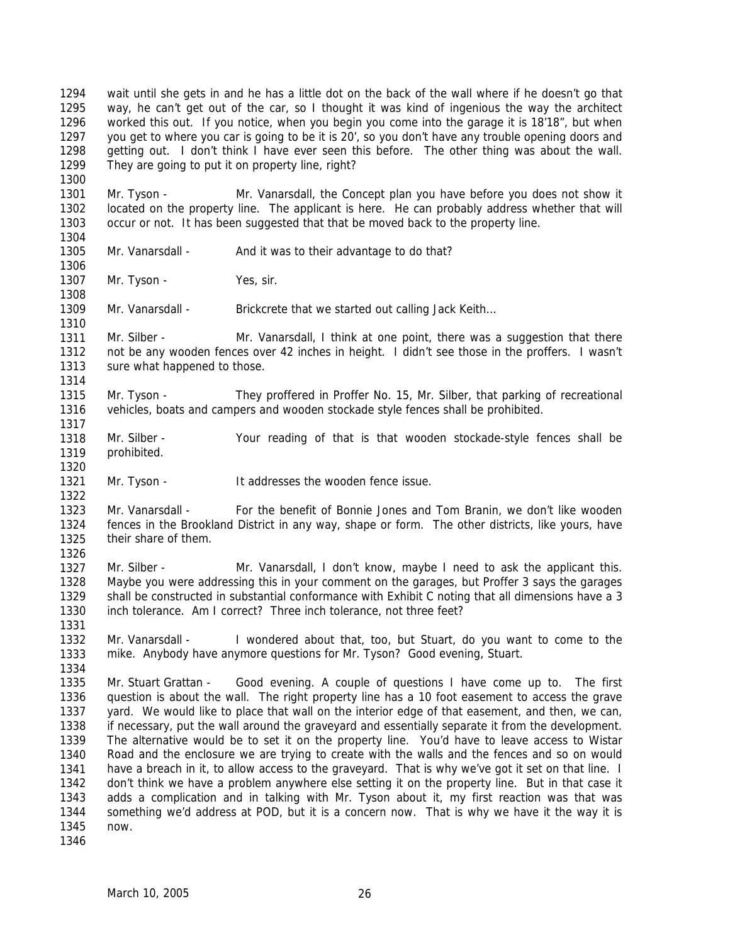1294 1295 1296 1297 1298 1299 wait until she gets in and he has a little dot on the back of the wall where if he doesn't go that way, he can't get out of the car, so I thought it was kind of ingenious the way the architect worked this out. If you notice, when you begin you come into the garage it is 18'18", but when you get to where you car is going to be it is 20', so you don't have any trouble opening doors and getting out. I don't think I have ever seen this before. The other thing was about the wall. They are going to put it on property line, right?

1301 1302 1303 Mr. Tyson - Mr. Vanarsdall, the Concept plan you have before you does not show it located on the property line. The applicant is here. He can probably address whether that will occur or not. It has been suggested that that be moved back to the property line.

1304 1305

1306

1310

1314

1317

1320

1322

1326

1331

1334

1300

Mr. Vanarsdall - And it was to their advantage to do that?

1307 1308 Mr. Tyson - Yes, sir.

1309 Mr. Vanarsdall - Brickcrete that we started out calling Jack Keith...

1311 1312 1313 Mr. Silber - Mr. Vanarsdall, I think at one point, there was a suggestion that there not be any wooden fences over 42 inches in height. I didn't see those in the proffers. I wasn't sure what happened to those.

1315 1316 Mr. Tyson - They proffered in Proffer No. 15, Mr. Silber, that parking of recreational vehicles, boats and campers and wooden stockade style fences shall be prohibited.

- 1318 1319 Mr. Silber - Your reading of that is that wooden stockade-style fences shall be prohibited.
- 1321 Mr. Tyson - It addresses the wooden fence issue.

1323 1324 1325 Mr. Vanarsdall - For the benefit of Bonnie Jones and Tom Branin, we don't like wooden fences in the Brookland District in any way, shape or form. The other districts, like yours, have their share of them.

1327 1328 1329 1330 Mr. Silber - Mr. Vanarsdall, I don't know, maybe I need to ask the applicant this. Maybe you were addressing this in your comment on the garages, but Proffer 3 says the garages shall be constructed in substantial conformance with Exhibit C noting that all dimensions have a 3 inch tolerance. Am I correct? Three inch tolerance, not three feet?

1332 1333 Mr. Vanarsdall - I wondered about that, too, but Stuart, do you want to come to the mike. Anybody have anymore questions for Mr. Tyson? Good evening, Stuart.

1335 1336 1337 1338 1339 1340 1341 1342 1343 1344 1345 Mr. Stuart Grattan - Good evening. A couple of questions I have come up to. The first question is about the wall. The right property line has a 10 foot easement to access the grave yard. We would like to place that wall on the interior edge of that easement, and then, we can, if necessary, put the wall around the graveyard and essentially separate it from the development. The alternative would be to set it on the property line. You'd have to leave access to Wistar Road and the enclosure we are trying to create with the walls and the fences and so on would have a breach in it, to allow access to the graveyard. That is why we've got it set on that line. I don't think we have a problem anywhere else setting it on the property line. But in that case it adds a complication and in talking with Mr. Tyson about it, my first reaction was that was something we'd address at POD, but it is a concern now. That is why we have it the way it is now.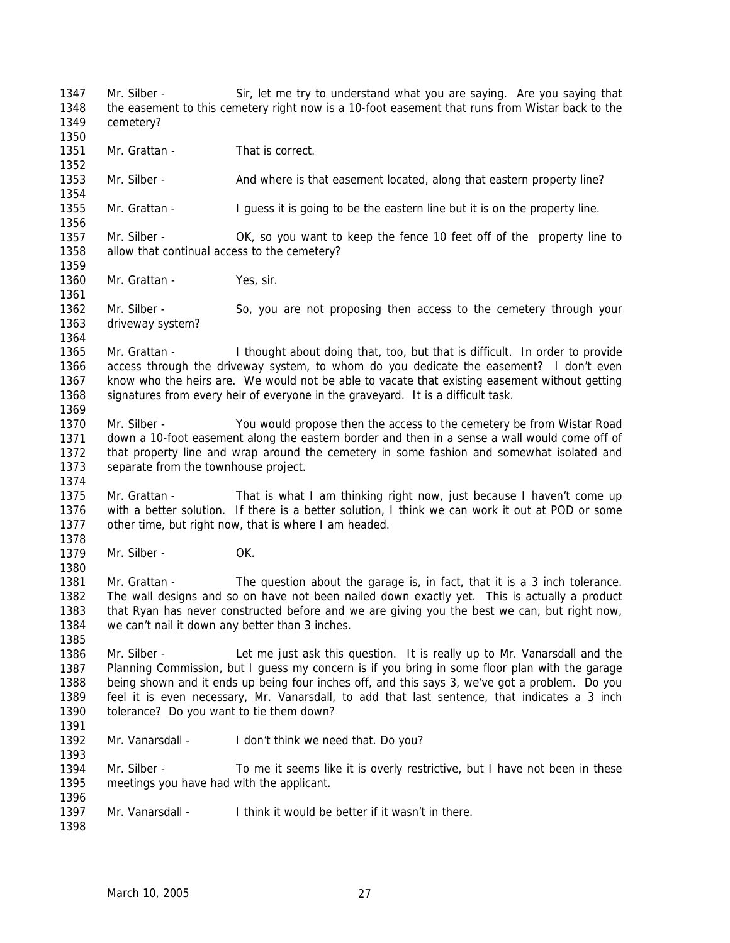1347 1348 1349 1350 1351 1352 1353 1354 1355 1356 1357 1358 1359 1360 1361 1362 1363 1364 1365 1366 1367 1368 1369 1370 1371 1372 1373 1374 1375 1376 1377 1378 1379 1380 1381 1382 1383 1384 1385 1386 1387 1388 1389 1390 1391 1392 1393 1394 1395 1396 1397 1398 Mr. Silber - Sir, let me try to understand what you are saying. Are you saying that the easement to this cemetery right now is a 10-foot easement that runs from Wistar back to the cemetery? Mr. Grattan - That is correct. Mr. Silber - And where is that easement located, along that eastern property line? Mr. Grattan - I guess it is going to be the eastern line but it is on the property line. Mr. Silber - OK, so you want to keep the fence 10 feet off of the property line to allow that continual access to the cemetery? Mr. Grattan - Yes, sir. Mr. Silber - So, you are not proposing then access to the cemetery through your driveway system? Mr. Grattan - I thought about doing that, too, but that is difficult. In order to provide access through the driveway system, to whom do you dedicate the easement? I don't even know who the heirs are. We would not be able to vacate that existing easement without getting signatures from every heir of everyone in the graveyard. It is a difficult task. Mr. Silber - You would propose then the access to the cemetery be from Wistar Road down a 10-foot easement along the eastern border and then in a sense a wall would come off of that property line and wrap around the cemetery in some fashion and somewhat isolated and separate from the townhouse project. Mr. Grattan - That is what I am thinking right now, just because I haven't come up with a better solution. If there is a better solution, I think we can work it out at POD or some other time, but right now, that is where I am headed. Mr. Silber - OK. Mr. Grattan - The question about the garage is, in fact, that it is a 3 inch tolerance. The wall designs and so on have not been nailed down exactly yet. This is actually a product that Ryan has never constructed before and we are giving you the best we can, but right now, we can't nail it down any better than 3 inches. Mr. Silber - Let me just ask this question. It is really up to Mr. Vanarsdall and the Planning Commission, but I guess my concern is if you bring in some floor plan with the garage being shown and it ends up being four inches off, and this says 3, we've got a problem. Do you feel it is even necessary, Mr. Vanarsdall, to add that last sentence, that indicates a 3 inch tolerance? Do you want to tie them down? Mr. Vanarsdall - I don't think we need that. Do you? Mr. Silber - To me it seems like it is overly restrictive, but I have not been in these meetings you have had with the applicant. Mr. Vanarsdall - I think it would be better if it wasn't in there.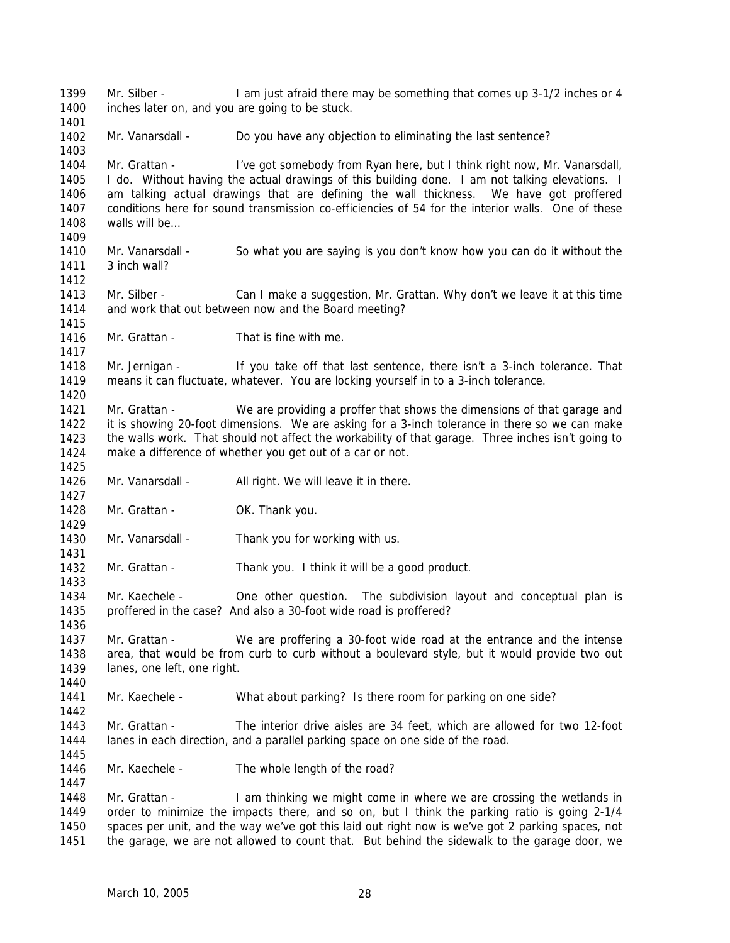1399 1400 1401 1402 1403 1404 1405 1406 1407 1408 1409 1410 1411 1412 1413 1414 1415 1416 1417 1418 1419 1420 1421 1422 1423 1424 1425 1426 1427 1428 1429 1430 1431 1432 1433 1434 1435 1436 1437 1438 1439 1440 1441 1442 1443 1444 1445 1446 1447 1448 1449 1450 1451 Mr. Silber - I am just afraid there may be something that comes up 3-1/2 inches or 4 inches later on, and you are going to be stuck. Mr. Vanarsdall - Do you have any objection to eliminating the last sentence? Mr. Grattan - I've got somebody from Ryan here, but I think right now, Mr. Vanarsdall, I do. Without having the actual drawings of this building done. I am not talking elevations. I am talking actual drawings that are defining the wall thickness. We have got proffered conditions here for sound transmission co-efficiencies of 54 for the interior walls. One of these walls will be Mr. Vanarsdall - So what you are saying is you don't know how you can do it without the 3 inch wall? Mr. Silber - Can I make a suggestion, Mr. Grattan. Why don't we leave it at this time and work that out between now and the Board meeting? Mr. Grattan - That is fine with me. Mr. Jernigan - If you take off that last sentence, there isn't a 3-inch tolerance. That means it can fluctuate, whatever. You are locking yourself in to a 3-inch tolerance. Mr. Grattan - We are providing a proffer that shows the dimensions of that garage and it is showing 20-foot dimensions. We are asking for a 3-inch tolerance in there so we can make the walls work. That should not affect the workability of that garage. Three inches isn't going to make a difference of whether you get out of a car or not. Mr. Vanarsdall - All right. We will leave it in there. Mr. Grattan - OK. Thank you. Mr. Vanarsdall - Thank you for working with us. Mr. Grattan - Thank you. I think it will be a good product. Mr. Kaechele - One other question. The subdivision layout and conceptual plan is proffered in the case? And also a 30-foot wide road is proffered? Mr. Grattan - We are proffering a 30-foot wide road at the entrance and the intense area, that would be from curb to curb without a boulevard style, but it would provide two out lanes, one left, one right. Mr. Kaechele - What about parking? Is there room for parking on one side? Mr. Grattan - The interior drive aisles are 34 feet, which are allowed for two 12-foot lanes in each direction, and a parallel parking space on one side of the road. Mr. Kaechele - The whole length of the road? Mr. Grattan - I am thinking we might come in where we are crossing the wetlands in order to minimize the impacts there, and so on, but I think the parking ratio is going 2-1/4 spaces per unit, and the way we've got this laid out right now is we've got 2 parking spaces, not the garage, we are not allowed to count that. But behind the sidewalk to the garage door, we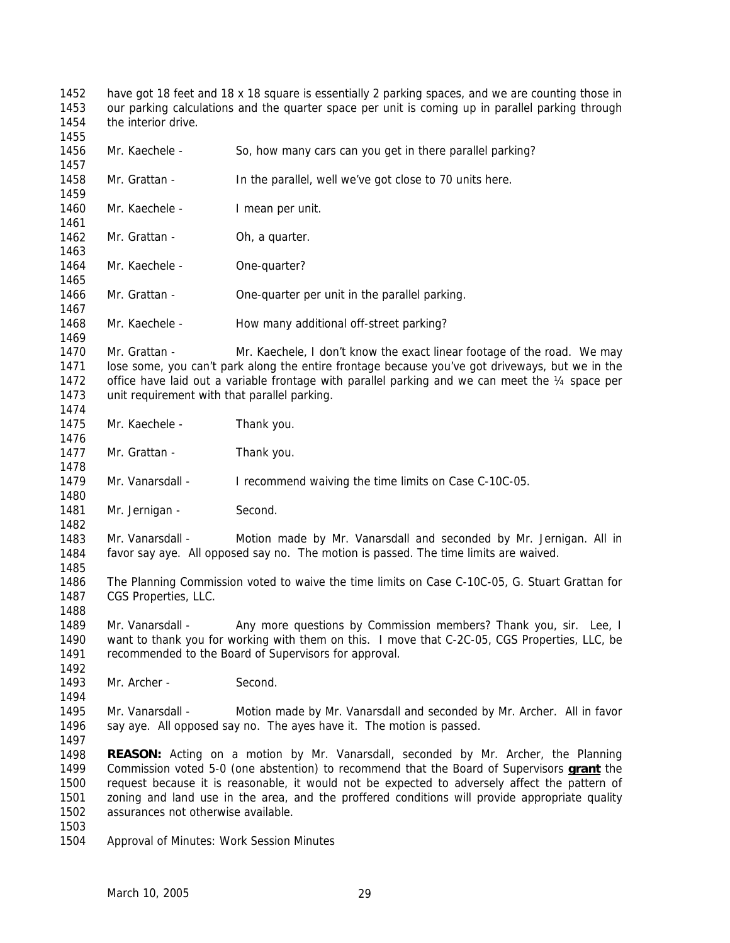1452 1453 1454 1455 1456 1457 have got 18 feet and 18 x 18 square is essentially 2 parking spaces, and we are counting those in our parking calculations and the quarter space per unit is coming up in parallel parking through the interior drive. Mr. Kaechele - So, how many cars can you get in there parallel parking?

1458 1459 Mr. Grattan - In the parallel, well we've got close to 70 units here.

1460 1461 Mr. Kaechele - I mean per unit.

Mr. Grattan - Oh, a quarter.

1463

1464 1465 Mr. Kaechele - One-quarter?

1466 1467 Mr. Grattan - **One-quarter per unit in the parallel parking.** 

1468 Mr. Kaechele - How many additional off-street parking?

1470 1471 1472 1473 Mr. Grattan - Mr. Kaechele, I don't know the exact linear footage of the road. We may lose some, you can't park along the entire frontage because you've got driveways, but we in the office have laid out a variable frontage with parallel parking and we can meet the  $\frac{1}{4}$  space per unit requirement with that parallel parking.

1475 Mr. Kaechele - Thank you.

1477 Mr. Grattan - Thank you.

1479 Mr. Vanarsdall - I recommend waiving the time limits on Case C-10C-05.

1480 1481 Mr. Jernigan - Second.

1483 1484 Mr. Vanarsdall - Motion made by Mr. Vanarsdall and seconded by Mr. Jernigan. All in favor say aye. All opposed say no. The motion is passed. The time limits are waived.

1486 1487 The Planning Commission voted to waive the time limits on Case C-10C-05, G. Stuart Grattan for CGS Properties, LLC.

1489 1490 1491 Mr. Vanarsdall - Any more questions by Commission members? Thank you, sir. Lee, I want to thank you for working with them on this. I move that C-2C-05, CGS Properties, LLC, be recommended to the Board of Supervisors for approval.

1493 Mr. Archer - Second.

1495 1496 Mr. Vanarsdall - Motion made by Mr. Vanarsdall and seconded by Mr. Archer. All in favor say aye. All opposed say no. The ayes have it. The motion is passed.

1497

1462

1469

1474

1476

1478

1482

1485

1488

1492

1494

1498 **REASON:** Acting on a motion by Mr. Vanarsdall, seconded by Mr. Archer, the Planning Commission voted 5-0 (one abstention) to recommend that the Board of Supervisors **grant** the request because it is reasonable, it would not be expected to adversely affect the pattern of zoning and land use in the area, and the proffered conditions will provide appropriate quality assurances not otherwise available. 1499 1500 1501 1502

1503

1504 Approval of Minutes: Work Session Minutes